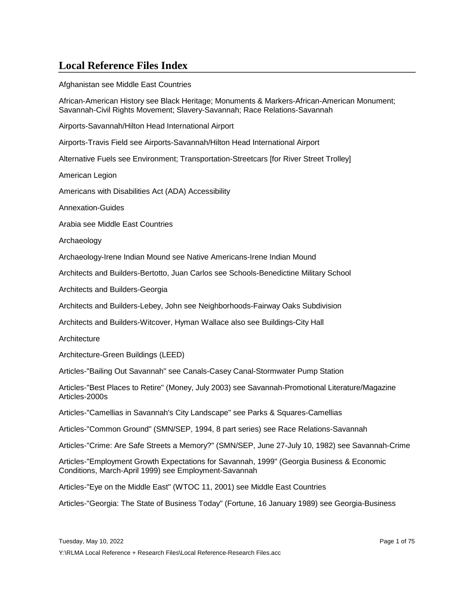Afghanistan see Middle East Countries

African-American History see Black Heritage; Monuments & Markers-African-American Monument; Savannah-Civil Rights Movement; Slavery-Savannah; Race Relations-Savannah

Airports-Savannah/Hilton Head International Airport

Airports-Travis Field see Airports-Savannah/Hilton Head International Airport

Alternative Fuels see Environment; Transportation-Streetcars [for River Street Trolley]

American Legion

Americans with Disabilities Act (ADA) Accessibility

Annexation-Guides

Arabia see Middle East Countries

Archaeology

Archaeology-Irene Indian Mound see Native Americans-Irene Indian Mound

Architects and Builders-Bertotto, Juan Carlos see Schools-Benedictine Military School

Architects and Builders-Georgia

Architects and Builders-Lebey, John see Neighborhoods-Fairway Oaks Subdivision

Architects and Builders-Witcover, Hyman Wallace also see Buildings-City Hall

**Architecture** 

Architecture-Green Buildings (LEED)

Articles-"Bailing Out Savannah" see Canals-Casey Canal-Stormwater Pump Station

Articles-"Best Places to Retire" (Money, July 2003) see Savannah-Promotional Literature/Magazine Articles-2000s

Articles-"Camellias in Savannah's City Landscape" see Parks & Squares-Camellias

Articles-"Common Ground" (SMN/SEP, 1994, 8 part series) see Race Relations-Savannah

Articles-"Crime: Are Safe Streets a Memory?" (SMN/SEP, June 27-July 10, 1982) see Savannah-Crime

Articles-"Employment Growth Expectations for Savannah, 1999" (Georgia Business & Economic Conditions, March-April 1999) see Employment-Savannah

Articles-"Eye on the Middle East" (WTOC 11, 2001) see Middle East Countries

Articles-"Georgia: The State of Business Today" (Fortune, 16 January 1989) see Georgia-Business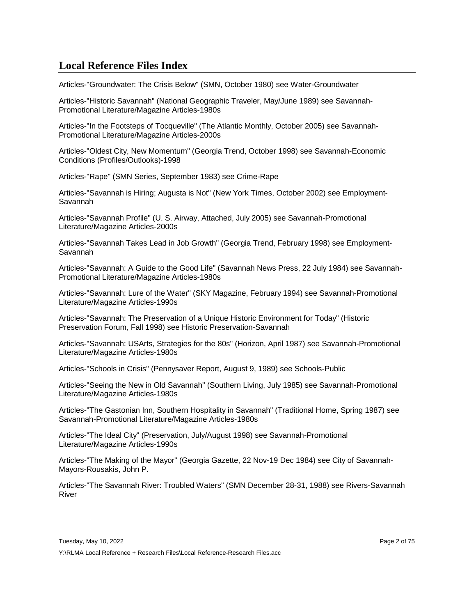Articles-"Groundwater: The Crisis Below" (SMN, October 1980) see Water-Groundwater

Articles-"Historic Savannah" (National Geographic Traveler, May/June 1989) see Savannah-Promotional Literature/Magazine Articles-1980s

Articles-"In the Footsteps of Tocqueville" (The Atlantic Monthly, October 2005) see Savannah-Promotional Literature/Magazine Articles-2000s

Articles-"Oldest City, New Momentum" (Georgia Trend, October 1998) see Savannah-Economic Conditions (Profiles/Outlooks)-1998

Articles-"Rape" (SMN Series, September 1983) see Crime-Rape

Articles-"Savannah is Hiring; Augusta is Not" (New York Times, October 2002) see Employment-Savannah

Articles-"Savannah Profile" (U. S. Airway, Attached, July 2005) see Savannah-Promotional Literature/Magazine Articles-2000s

Articles-"Savannah Takes Lead in Job Growth" (Georgia Trend, February 1998) see Employment-Savannah

Articles-"Savannah: A Guide to the Good Life" (Savannah News Press, 22 July 1984) see Savannah-Promotional Literature/Magazine Articles-1980s

Articles-"Savannah: Lure of the Water" (SKY Magazine, February 1994) see Savannah-Promotional Literature/Magazine Articles-1990s

Articles-"Savannah: The Preservation of a Unique Historic Environment for Today" (Historic Preservation Forum, Fall 1998) see Historic Preservation-Savannah

Articles-"Savannah: USArts, Strategies for the 80s" (Horizon, April 1987) see Savannah-Promotional Literature/Magazine Articles-1980s

Articles-"Schools in Crisis" (Pennysaver Report, August 9, 1989) see Schools-Public

Articles-"Seeing the New in Old Savannah" (Southern Living, July 1985) see Savannah-Promotional Literature/Magazine Articles-1980s

Articles-"The Gastonian Inn, Southern Hospitality in Savannah" (Traditional Home, Spring 1987) see Savannah-Promotional Literature/Magazine Articles-1980s

Articles-"The Ideal City" (Preservation, July/August 1998) see Savannah-Promotional Literature/Magazine Articles-1990s

Articles-"The Making of the Mayor" (Georgia Gazette, 22 Nov-19 Dec 1984) see City of Savannah-Mayors-Rousakis, John P.

Articles-"The Savannah River: Troubled Waters" (SMN December 28-31, 1988) see Rivers-Savannah River

Y:\RLMA Local Reference + Research Files\Local Reference-Research Files.acc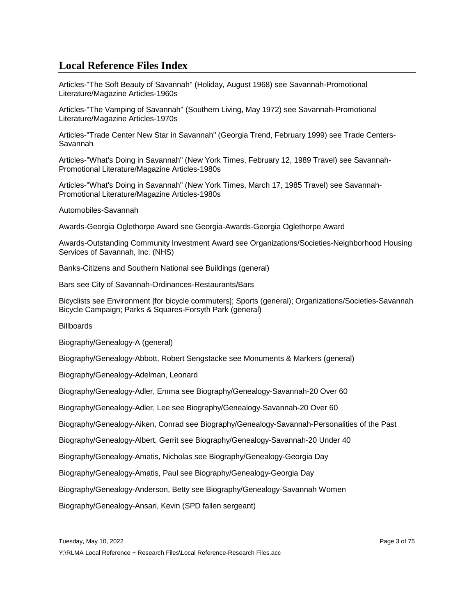Articles-"The Soft Beauty of Savannah" (Holiday, August 1968) see Savannah-Promotional Literature/Magazine Articles-1960s

Articles-"The Vamping of Savannah" (Southern Living, May 1972) see Savannah-Promotional Literature/Magazine Articles-1970s

Articles-"Trade Center New Star in Savannah" (Georgia Trend, February 1999) see Trade Centers-Savannah

Articles-"What's Doing in Savannah" (New York Times, February 12, 1989 Travel) see Savannah-Promotional Literature/Magazine Articles-1980s

Articles-"What's Doing in Savannah" (New York Times, March 17, 1985 Travel) see Savannah-Promotional Literature/Magazine Articles-1980s

Automobiles-Savannah

Awards-Georgia Oglethorpe Award see Georgia-Awards-Georgia Oglethorpe Award

Awards-Outstanding Community Investment Award see Organizations/Societies-Neighborhood Housing Services of Savannah, Inc. (NHS)

Banks-Citizens and Southern National see Buildings (general)

Bars see City of Savannah-Ordinances-Restaurants/Bars

Bicyclists see Environment [for bicycle commuters]; Sports (general); Organizations/Societies-Savannah Bicycle Campaign; Parks & Squares-Forsyth Park (general)

**Billboards** 

Biography/Genealogy-A (general)

Biography/Genealogy-Abbott, Robert Sengstacke see Monuments & Markers (general)

Biography/Genealogy-Adelman, Leonard

Biography/Genealogy-Adler, Emma see Biography/Genealogy-Savannah-20 Over 60

Biography/Genealogy-Adler, Lee see Biography/Genealogy-Savannah-20 Over 60

Biography/Genealogy-Aiken, Conrad see Biography/Genealogy-Savannah-Personalities of the Past

Biography/Genealogy-Albert, Gerrit see Biography/Genealogy-Savannah-20 Under 40

Biography/Genealogy-Amatis, Nicholas see Biography/Genealogy-Georgia Day

Biography/Genealogy-Amatis, Paul see Biography/Genealogy-Georgia Day

Biography/Genealogy-Anderson, Betty see Biography/Genealogy-Savannah Women

Biography/Genealogy-Ansari, Kevin (SPD fallen sergeant)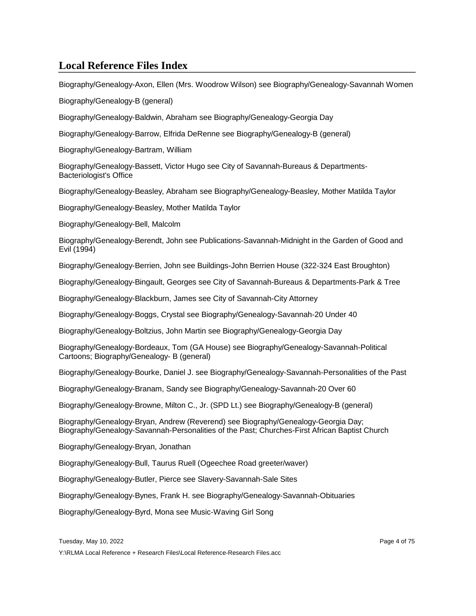Biography/Genealogy-Axon, Ellen (Mrs. Woodrow Wilson) see Biography/Genealogy-Savannah Women

Biography/Genealogy-B (general)

Biography/Genealogy-Baldwin, Abraham see Biography/Genealogy-Georgia Day

Biography/Genealogy-Barrow, Elfrida DeRenne see Biography/Genealogy-B (general)

Biography/Genealogy-Bartram, William

Biography/Genealogy-Bassett, Victor Hugo see City of Savannah-Bureaus & Departments-Bacteriologist's Office

Biography/Genealogy-Beasley, Abraham see Biography/Genealogy-Beasley, Mother Matilda Taylor

Biography/Genealogy-Beasley, Mother Matilda Taylor

Biography/Genealogy-Bell, Malcolm

Biography/Genealogy-Berendt, John see Publications-Savannah-Midnight in the Garden of Good and Evil (1994)

Biography/Genealogy-Berrien, John see Buildings-John Berrien House (322-324 East Broughton)

Biography/Genealogy-Bingault, Georges see City of Savannah-Bureaus & Departments-Park & Tree

Biography/Genealogy-Blackburn, James see City of Savannah-City Attorney

Biography/Genealogy-Boggs, Crystal see Biography/Genealogy-Savannah-20 Under 40

Biography/Genealogy-Boltzius, John Martin see Biography/Genealogy-Georgia Day

Biography/Genealogy-Bordeaux, Tom (GA House) see Biography/Genealogy-Savannah-Political Cartoons; Biography/Genealogy- B (general)

Biography/Genealogy-Bourke, Daniel J. see Biography/Genealogy-Savannah-Personalities of the Past

Biography/Genealogy-Branam, Sandy see Biography/Genealogy-Savannah-20 Over 60

Biography/Genealogy-Browne, Milton C., Jr. (SPD Lt.) see Biography/Genealogy-B (general)

Biography/Genealogy-Bryan, Andrew (Reverend) see Biography/Genealogy-Georgia Day; Biography/Genealogy-Savannah-Personalities of the Past; Churches-First African Baptist Church

Biography/Genealogy-Bryan, Jonathan

Biography/Genealogy-Bull, Taurus Ruell (Ogeechee Road greeter/waver)

Biography/Genealogy-Butler, Pierce see Slavery-Savannah-Sale Sites

Biography/Genealogy-Bynes, Frank H. see Biography/Genealogy-Savannah-Obituaries

Biography/Genealogy-Byrd, Mona see Music-Waving Girl Song

Tuesday, May 10, 2022 Page 4 of 75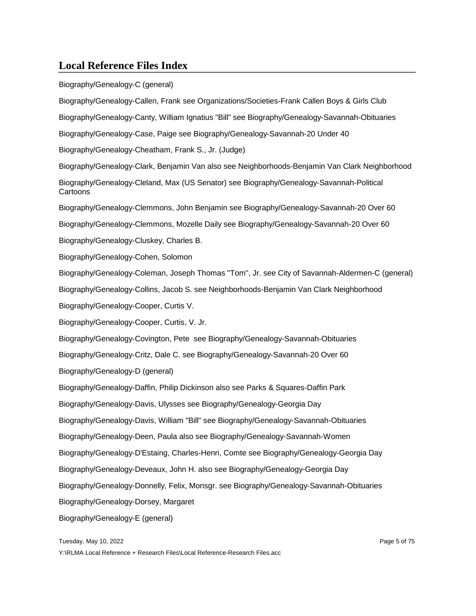Biography/Genealogy-C (general) Biography/Genealogy-Callen, Frank see Organizations/Societies-Frank Callen Boys & Girls Club Biography/Genealogy-Canty, William Ignatius "Bill" see Biography/Genealogy-Savannah-Obituaries Biography/Genealogy-Case, Paige see Biography/Genealogy-Savannah-20 Under 40 Biography/Genealogy-Cheatham, Frank S., Jr. (Judge) Biography/Genealogy-Clark, Benjamin Van also see Neighborhoods-Benjamin Van Clark Neighborhood Biography/Genealogy-Cleland, Max (US Senator) see Biography/Genealogy-Savannah-Political Cartoons Biography/Genealogy-Clemmons, John Benjamin see Biography/Genealogy-Savannah-20 Over 60 Biography/Genealogy-Clemmons, Mozelle Daily see Biography/Genealogy-Savannah-20 Over 60 Biography/Genealogy-Cluskey, Charles B. Biography/Genealogy-Cohen, Solomon Biography/Genealogy-Coleman, Joseph Thomas "Tom", Jr. see City of Savannah-Aldermen-C (general) Biography/Genealogy-Collins, Jacob S. see Neighborhoods-Benjamin Van Clark Neighborhood Biography/Genealogy-Cooper, Curtis V. Biography/Genealogy-Cooper, Curtis, V. Jr. Biography/Genealogy-Covington, Pete see Biography/Genealogy-Savannah-Obituaries Biography/Genealogy-Critz, Dale C. see Biography/Genealogy-Savannah-20 Over 60 Biography/Genealogy-D (general) Biography/Genealogy-Daffin, Philip Dickinson also see Parks & Squares-Daffin Park Biography/Genealogy-Davis, Ulysses see Biography/Genealogy-Georgia Day Biography/Genealogy-Davis, William "Bill" see Biography/Genealogy-Savannah-Obituaries Biography/Genealogy-Deen, Paula also see Biography/Genealogy-Savannah-Women Biography/Genealogy-D'Estaing, Charles-Henri, Comte see Biography/Genealogy-Georgia Day Biography/Genealogy-Deveaux, John H. also see Biography/Genealogy-Georgia Day Biography/Genealogy-Donnelly, Felix, Monsgr. see Biography/Genealogy-Savannah-Obituaries Biography/Genealogy-Dorsey, Margaret Biography/Genealogy-E (general)

Tuesday, May 10, 2022 **Page 5 of 75**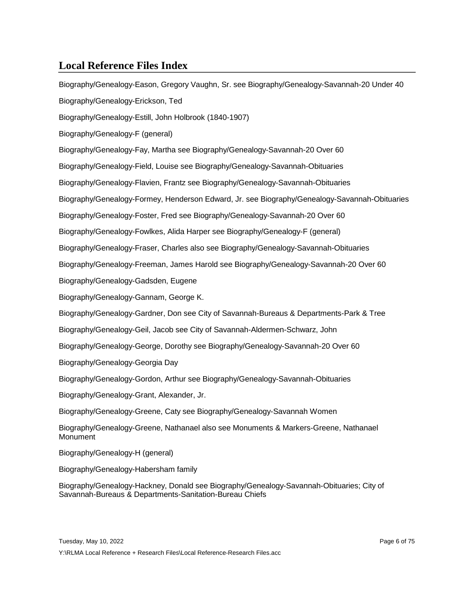Biography/Genealogy-Eason, Gregory Vaughn, Sr. see Biography/Genealogy-Savannah-20 Under 40 Biography/Genealogy-Erickson, Ted Biography/Genealogy-Estill, John Holbrook (1840-1907) Biography/Genealogy-F (general) Biography/Genealogy-Fay, Martha see Biography/Genealogy-Savannah-20 Over 60 Biography/Genealogy-Field, Louise see Biography/Genealogy-Savannah-Obituaries Biography/Genealogy-Flavien, Frantz see Biography/Genealogy-Savannah-Obituaries Biography/Genealogy-Formey, Henderson Edward, Jr. see Biography/Genealogy-Savannah-Obituaries Biography/Genealogy-Foster, Fred see Biography/Genealogy-Savannah-20 Over 60 Biography/Genealogy-Fowlkes, Alida Harper see Biography/Genealogy-F (general) Biography/Genealogy-Fraser, Charles also see Biography/Genealogy-Savannah-Obituaries Biography/Genealogy-Freeman, James Harold see Biography/Genealogy-Savannah-20 Over 60 Biography/Genealogy-Gadsden, Eugene Biography/Genealogy-Gannam, George K. Biography/Genealogy-Gardner, Don see City of Savannah-Bureaus & Departments-Park & Tree Biography/Genealogy-Geil, Jacob see City of Savannah-Aldermen-Schwarz, John Biography/Genealogy-George, Dorothy see Biography/Genealogy-Savannah-20 Over 60 Biography/Genealogy-Georgia Day Biography/Genealogy-Gordon, Arthur see Biography/Genealogy-Savannah-Obituaries Biography/Genealogy-Grant, Alexander, Jr. Biography/Genealogy-Greene, Caty see Biography/Genealogy-Savannah Women Biography/Genealogy-Greene, Nathanael also see Monuments & Markers-Greene, Nathanael **Monument** Biography/Genealogy-H (general) Biography/Genealogy-Habersham family

Biography/Genealogy-Hackney, Donald see Biography/Genealogy-Savannah-Obituaries; City of Savannah-Bureaus & Departments-Sanitation-Bureau Chiefs

Tuesday, May 10, 2022 Page 6 of 75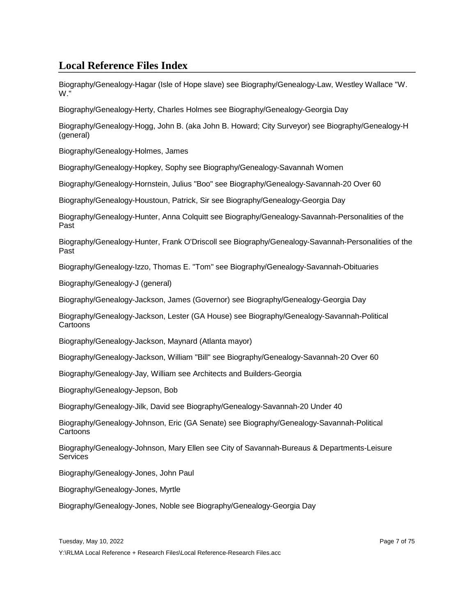Biography/Genealogy-Hagar (Isle of Hope slave) see Biography/Genealogy-Law, Westley Wallace "W. W."

Biography/Genealogy-Herty, Charles Holmes see Biography/Genealogy-Georgia Day

Biography/Genealogy-Hogg, John B. (aka John B. Howard; City Surveyor) see Biography/Genealogy-H (general)

Biography/Genealogy-Holmes, James

Biography/Genealogy-Hopkey, Sophy see Biography/Genealogy-Savannah Women

Biography/Genealogy-Hornstein, Julius "Boo" see Biography/Genealogy-Savannah-20 Over 60

Biography/Genealogy-Houstoun, Patrick, Sir see Biography/Genealogy-Georgia Day

Biography/Genealogy-Hunter, Anna Colquitt see Biography/Genealogy-Savannah-Personalities of the Past

Biography/Genealogy-Hunter, Frank O'Driscoll see Biography/Genealogy-Savannah-Personalities of the Past

Biography/Genealogy-Izzo, Thomas E. "Tom" see Biography/Genealogy-Savannah-Obituaries

Biography/Genealogy-J (general)

Biography/Genealogy-Jackson, James (Governor) see Biography/Genealogy-Georgia Day

Biography/Genealogy-Jackson, Lester (GA House) see Biography/Genealogy-Savannah-Political **Cartoons** 

Biography/Genealogy-Jackson, Maynard (Atlanta mayor)

Biography/Genealogy-Jackson, William "Bill" see Biography/Genealogy-Savannah-20 Over 60

Biography/Genealogy-Jay, William see Architects and Builders-Georgia

Biography/Genealogy-Jepson, Bob

Biography/Genealogy-Jilk, David see Biography/Genealogy-Savannah-20 Under 40

Biography/Genealogy-Johnson, Eric (GA Senate) see Biography/Genealogy-Savannah-Political Cartoons

Biography/Genealogy-Johnson, Mary Ellen see City of Savannah-Bureaus & Departments-Leisure **Services** 

Biography/Genealogy-Jones, John Paul

Biography/Genealogy-Jones, Myrtle

Biography/Genealogy-Jones, Noble see Biography/Genealogy-Georgia Day

Tuesday, May 10, 2022 **Page 7 of 75**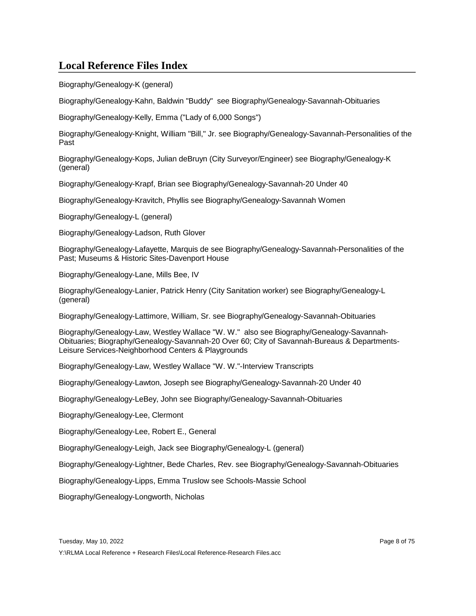Biography/Genealogy-K (general)

Biography/Genealogy-Kahn, Baldwin "Buddy" see Biography/Genealogy-Savannah-Obituaries

Biography/Genealogy-Kelly, Emma ("Lady of 6,000 Songs")

Biography/Genealogy-Knight, William "Bill," Jr. see Biography/Genealogy-Savannah-Personalities of the Past

Biography/Genealogy-Kops, Julian deBruyn (City Surveyor/Engineer) see Biography/Genealogy-K (general)

Biography/Genealogy-Krapf, Brian see Biography/Genealogy-Savannah-20 Under 40

Biography/Genealogy-Kravitch, Phyllis see Biography/Genealogy-Savannah Women

Biography/Genealogy-L (general)

Biography/Genealogy-Ladson, Ruth Glover

Biography/Genealogy-Lafayette, Marquis de see Biography/Genealogy-Savannah-Personalities of the Past; Museums & Historic Sites-Davenport House

Biography/Genealogy-Lane, Mills Bee, IV

Biography/Genealogy-Lanier, Patrick Henry (City Sanitation worker) see Biography/Genealogy-L (general)

Biography/Genealogy-Lattimore, William, Sr. see Biography/Genealogy-Savannah-Obituaries

Biography/Genealogy-Law, Westley Wallace "W. W." also see Biography/Genealogy-Savannah-Obituaries; Biography/Genealogy-Savannah-20 Over 60; City of Savannah-Bureaus & Departments-Leisure Services-Neighborhood Centers & Playgrounds

Biography/Genealogy-Law, Westley Wallace "W. W."-Interview Transcripts

Biography/Genealogy-Lawton, Joseph see Biography/Genealogy-Savannah-20 Under 40

Biography/Genealogy-LeBey, John see Biography/Genealogy-Savannah-Obituaries

Biography/Genealogy-Lee, Clermont

Biography/Genealogy-Lee, Robert E., General

Biography/Genealogy-Leigh, Jack see Biography/Genealogy-L (general)

Biography/Genealogy-Lightner, Bede Charles, Rev. see Biography/Genealogy-Savannah-Obituaries

Biography/Genealogy-Lipps, Emma Truslow see Schools-Massie School

Biography/Genealogy-Longworth, Nicholas

Tuesday, May 10, 2022 Page 8 of 75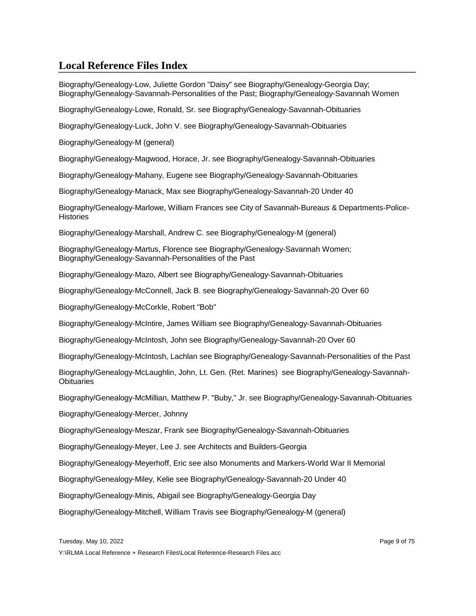Biography/Genealogy-Low, Juliette Gordon "Daisy" see Biography/Genealogy-Georgia Day; Biography/Genealogy-Savannah-Personalities of the Past; Biography/Genealogy-Savannah Women

Biography/Genealogy-Lowe, Ronald, Sr. see Biography/Genealogy-Savannah-Obituaries

Biography/Genealogy-Luck, John V. see Biography/Genealogy-Savannah-Obituaries

Biography/Genealogy-M (general)

Biography/Genealogy-Magwood, Horace, Jr. see Biography/Genealogy-Savannah-Obituaries

Biography/Genealogy-Mahany, Eugene see Biography/Genealogy-Savannah-Obituaries

Biography/Genealogy-Manack, Max see Biography/Genealogy-Savannah-20 Under 40

Biography/Genealogy-Marlowe, William Frances see City of Savannah-Bureaus & Departments-Police-**Histories** 

Biography/Genealogy-Marshall, Andrew C. see Biography/Genealogy-M (general)

Biography/Genealogy-Martus, Florence see Biography/Genealogy-Savannah Women; Biography/Genealogy-Savannah-Personalities of the Past

Biography/Genealogy-Mazo, Albert see Biography/Genealogy-Savannah-Obituaries

Biography/Genealogy-McConnell, Jack B. see Biography/Genealogy-Savannah-20 Over 60

Biography/Genealogy-McCorkle, Robert "Bob"

Biography/Genealogy-McIntire, James William see Biography/Genealogy-Savannah-Obituaries

Biography/Genealogy-McIntosh, John see Biography/Genealogy-Savannah-20 Over 60

Biography/Genealogy-McIntosh, Lachlan see Biography/Genealogy-Savannah-Personalities of the Past

Biography/Genealogy-McLaughlin, John, Lt. Gen. (Ret. Marines) see Biography/Genealogy-Savannah-**Obituaries** 

Biography/Genealogy-McMillian, Matthew P. "Buby," Jr. see Biography/Genealogy-Savannah-Obituaries

Biography/Genealogy-Mercer, Johnny

Biography/Genealogy-Meszar, Frank see Biography/Genealogy-Savannah-Obituaries

Biography/Genealogy-Meyer, Lee J. see Architects and Builders-Georgia

Biography/Genealogy-Meyerhoff, Eric see also Monuments and Markers-World War II Memorial

Biography/Genealogy-Miley, Kelie see Biography/Genealogy-Savannah-20 Under 40

Biography/Genealogy-Minis, Abigail see Biography/Genealogy-Georgia Day

Biography/Genealogy-Mitchell, William Travis see Biography/Genealogy-M (general)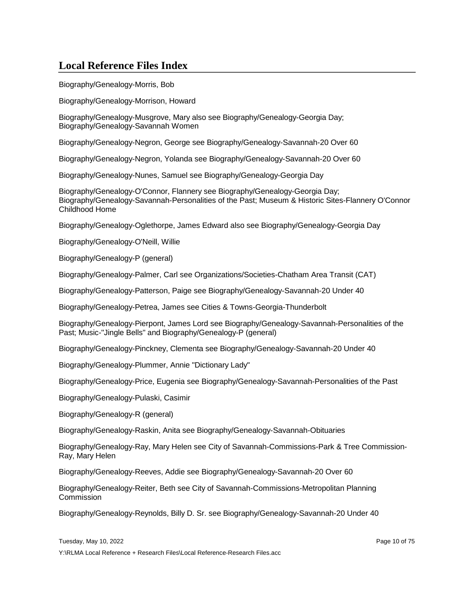Biography/Genealogy-Morris, Bob

Biography/Genealogy-Morrison, Howard

Biography/Genealogy-Musgrove, Mary also see Biography/Genealogy-Georgia Day; Biography/Genealogy-Savannah Women

Biography/Genealogy-Negron, George see Biography/Genealogy-Savannah-20 Over 60

Biography/Genealogy-Negron, Yolanda see Biography/Genealogy-Savannah-20 Over 60

Biography/Genealogy-Nunes, Samuel see Biography/Genealogy-Georgia Day

Biography/Genealogy-O'Connor, Flannery see Biography/Genealogy-Georgia Day; Biography/Genealogy-Savannah-Personalities of the Past; Museum & Historic Sites-Flannery O'Connor Childhood Home

Biography/Genealogy-Oglethorpe, James Edward also see Biography/Genealogy-Georgia Day

Biography/Genealogy-O'Neill, Willie

Biography/Genealogy-P (general)

Biography/Genealogy-Palmer, Carl see Organizations/Societies-Chatham Area Transit (CAT)

Biography/Genealogy-Patterson, Paige see Biography/Genealogy-Savannah-20 Under 40

Biography/Genealogy-Petrea, James see Cities & Towns-Georgia-Thunderbolt

Biography/Genealogy-Pierpont, James Lord see Biography/Genealogy-Savannah-Personalities of the Past; Music-"Jingle Bells" and Biography/Genealogy-P (general)

Biography/Genealogy-Pinckney, Clementa see Biography/Genealogy-Savannah-20 Under 40

Biography/Genealogy-Plummer, Annie "Dictionary Lady"

Biography/Genealogy-Price, Eugenia see Biography/Genealogy-Savannah-Personalities of the Past

Biography/Genealogy-Pulaski, Casimir

Biography/Genealogy-R (general)

Biography/Genealogy-Raskin, Anita see Biography/Genealogy-Savannah-Obituaries

Biography/Genealogy-Ray, Mary Helen see City of Savannah-Commissions-Park & Tree Commission-Ray, Mary Helen

Biography/Genealogy-Reeves, Addie see Biography/Genealogy-Savannah-20 Over 60

Biography/Genealogy-Reiter, Beth see City of Savannah-Commissions-Metropolitan Planning **Commission** 

Biography/Genealogy-Reynolds, Billy D. Sr. see Biography/Genealogy-Savannah-20 Under 40

Tuesday, May 10, 2022 Page 10 of 75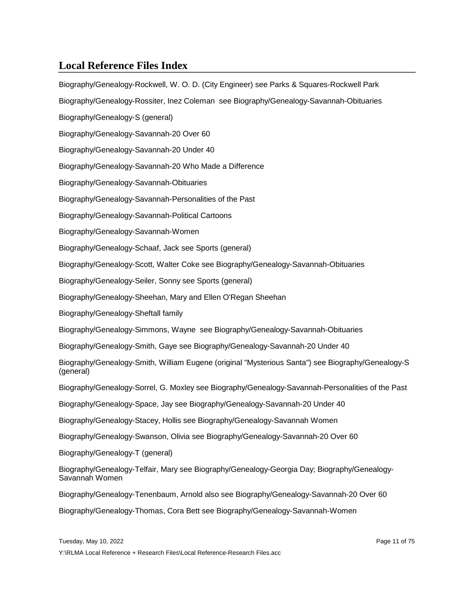Biography/Genealogy-Rockwell, W. O. D. (City Engineer) see Parks & Squares-Rockwell Park Biography/Genealogy-Rossiter, Inez Coleman see Biography/Genealogy-Savannah-Obituaries Biography/Genealogy-S (general) Biography/Genealogy-Savannah-20 Over 60 Biography/Genealogy-Savannah-20 Under 40 Biography/Genealogy-Savannah-20 Who Made a Difference Biography/Genealogy-Savannah-Obituaries Biography/Genealogy-Savannah-Personalities of the Past Biography/Genealogy-Savannah-Political Cartoons Biography/Genealogy-Savannah-Women Biography/Genealogy-Schaaf, Jack see Sports (general) Biography/Genealogy-Scott, Walter Coke see Biography/Genealogy-Savannah-Obituaries Biography/Genealogy-Seiler, Sonny see Sports (general) Biography/Genealogy-Sheehan, Mary and Ellen O'Regan Sheehan Biography/Genealogy-Sheftall family Biography/Genealogy-Simmons, Wayne see Biography/Genealogy-Savannah-Obituaries Biography/Genealogy-Smith, Gaye see Biography/Genealogy-Savannah-20 Under 40 Biography/Genealogy-Smith, William Eugene (original "Mysterious Santa") see Biography/Genealogy-S (general) Biography/Genealogy-Sorrel, G. Moxley see Biography/Genealogy-Savannah-Personalities of the Past Biography/Genealogy-Space, Jay see Biography/Genealogy-Savannah-20 Under 40 Biography/Genealogy-Stacey, Hollis see Biography/Genealogy-Savannah Women Biography/Genealogy-Swanson, Olivia see Biography/Genealogy-Savannah-20 Over 60 Biography/Genealogy-T (general) Biography/Genealogy-Telfair, Mary see Biography/Genealogy-Georgia Day; Biography/Genealogy-Savannah Women Biography/Genealogy-Tenenbaum, Arnold also see Biography/Genealogy-Savannah-20 Over 60

Biography/Genealogy-Thomas, Cora Bett see Biography/Genealogy-Savannah-Women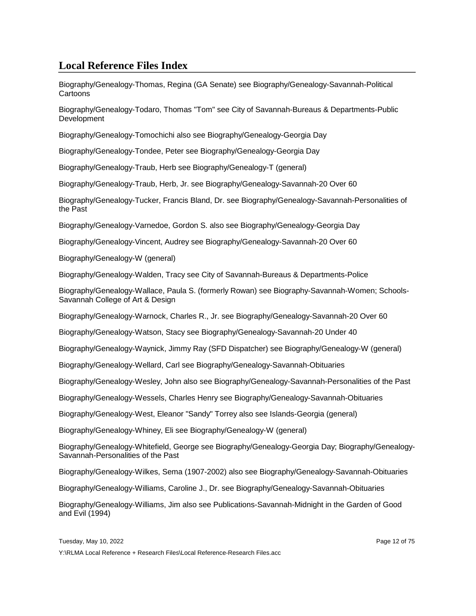Biography/Genealogy-Thomas, Regina (GA Senate) see Biography/Genealogy-Savannah-Political Cartoons

Biography/Genealogy-Todaro, Thomas "Tom" see City of Savannah-Bureaus & Departments-Public **Development** 

Biography/Genealogy-Tomochichi also see Biography/Genealogy-Georgia Day

Biography/Genealogy-Tondee, Peter see Biography/Genealogy-Georgia Day

Biography/Genealogy-Traub, Herb see Biography/Genealogy-T (general)

Biography/Genealogy-Traub, Herb, Jr. see Biography/Genealogy-Savannah-20 Over 60

Biography/Genealogy-Tucker, Francis Bland, Dr. see Biography/Genealogy-Savannah-Personalities of the Past

Biography/Genealogy-Varnedoe, Gordon S. also see Biography/Genealogy-Georgia Day

Biography/Genealogy-Vincent, Audrey see Biography/Genealogy-Savannah-20 Over 60

Biography/Genealogy-W (general)

Biography/Genealogy-Walden, Tracy see City of Savannah-Bureaus & Departments-Police

Biography/Genealogy-Wallace, Paula S. (formerly Rowan) see Biography-Savannah-Women; Schools-Savannah College of Art & Design

Biography/Genealogy-Warnock, Charles R., Jr. see Biography/Genealogy-Savannah-20 Over 60

Biography/Genealogy-Watson, Stacy see Biography/Genealogy-Savannah-20 Under 40

Biography/Genealogy-Waynick, Jimmy Ray (SFD Dispatcher) see Biography/Genealogy-W (general)

Biography/Genealogy-Wellard, Carl see Biography/Genealogy-Savannah-Obituaries

Biography/Genealogy-Wesley, John also see Biography/Genealogy-Savannah-Personalities of the Past

Biography/Genealogy-Wessels, Charles Henry see Biography/Genealogy-Savannah-Obituaries

Biography/Genealogy-West, Eleanor "Sandy" Torrey also see Islands-Georgia (general)

Biography/Genealogy-Whiney, Eli see Biography/Genealogy-W (general)

Biography/Genealogy-Whitefield, George see Biography/Genealogy-Georgia Day; Biography/Genealogy-Savannah-Personalities of the Past

Biography/Genealogy-Wilkes, Sema (1907-2002) also see Biography/Genealogy-Savannah-Obituaries

Biography/Genealogy-Williams, Caroline J., Dr. see Biography/Genealogy-Savannah-Obituaries

Biography/Genealogy-Williams, Jim also see Publications-Savannah-Midnight in the Garden of Good and Evil (1994)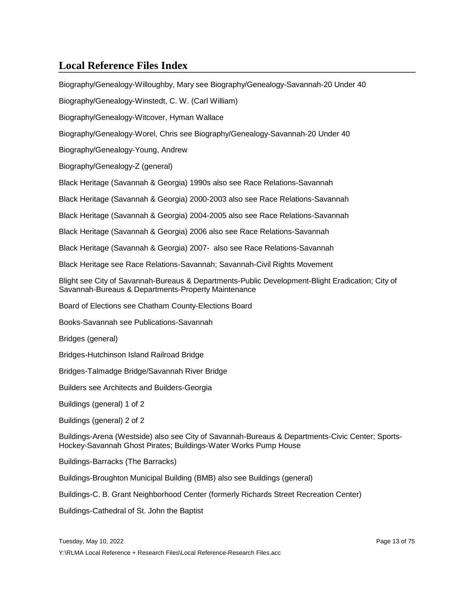Biography/Genealogy-Willoughby, Mary see Biography/Genealogy-Savannah-20 Under 40 Biography/Genealogy-Winstedt, C. W. (Carl William) Biography/Genealogy-Witcover, Hyman Wallace Biography/Genealogy-Worel, Chris see Biography/Genealogy-Savannah-20 Under 40 Biography/Genealogy-Young, Andrew Biography/Genealogy-Z (general) Black Heritage (Savannah & Georgia) 1990s also see Race Relations-Savannah Black Heritage (Savannah & Georgia) 2000-2003 also see Race Relations-Savannah Black Heritage (Savannah & Georgia) 2004-2005 also see Race Relations-Savannah Black Heritage (Savannah & Georgia) 2006 also see Race Relations-Savannah Black Heritage (Savannah & Georgia) 2007- also see Race Relations-Savannah Black Heritage see Race Relations-Savannah; Savannah-Civil Rights Movement Blight see City of Savannah-Bureaus & Departments-Public Development-Blight Eradication; City of Savannah-Bureaus & Departments-Property Maintenance Board of Elections see Chatham County-Elections Board Books-Savannah see Publications-Savannah Bridges (general) Bridges-Hutchinson Island Railroad Bridge Bridges-Talmadge Bridge/Savannah River Bridge Builders see Architects and Builders-Georgia Buildings (general) 1 of 2 Buildings (general) 2 of 2 Buildings-Arena (Westside) also see City of Savannah-Bureaus & Departments-Civic Center; Sports-Hockey-Savannah Ghost Pirates; Buildings-Water Works Pump House Buildings-Barracks (The Barracks) Buildings-Broughton Municipal Building (BMB) also see Buildings (general) Buildings-C. B. Grant Neighborhood Center (formerly Richards Street Recreation Center)

Buildings-Cathedral of St. John the Baptist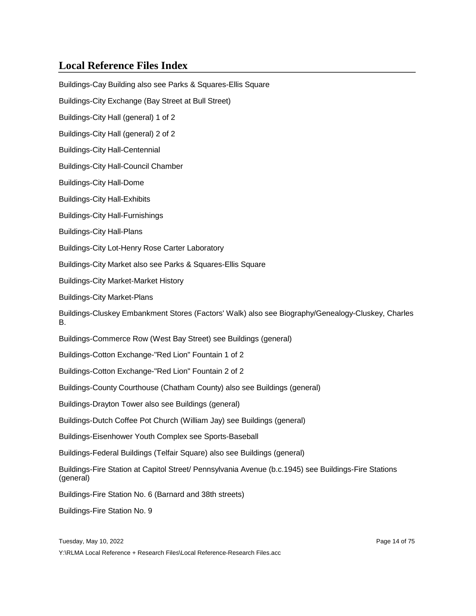Buildings-Cay Building also see Parks & Squares-Ellis Square Buildings-City Exchange (Bay Street at Bull Street) Buildings-City Hall (general) 1 of 2 Buildings-City Hall (general) 2 of 2 Buildings-City Hall-Centennial Buildings-City Hall-Council Chamber Buildings-City Hall-Dome Buildings-City Hall-Exhibits Buildings-City Hall-Furnishings Buildings-City Hall-Plans Buildings-City Lot-Henry Rose Carter Laboratory Buildings-City Market also see Parks & Squares-Ellis Square Buildings-City Market-Market History Buildings-City Market-Plans Buildings-Cluskey Embankment Stores (Factors' Walk) also see Biography/Genealogy-Cluskey, Charles B. Buildings-Commerce Row (West Bay Street) see Buildings (general) Buildings-Cotton Exchange-"Red Lion" Fountain 1 of 2 Buildings-Cotton Exchange-"Red Lion" Fountain 2 of 2 Buildings-County Courthouse (Chatham County) also see Buildings (general) Buildings-Drayton Tower also see Buildings (general) Buildings-Dutch Coffee Pot Church (William Jay) see Buildings (general)

Buildings-Eisenhower Youth Complex see Sports-Baseball

Buildings-Federal Buildings (Telfair Square) also see Buildings (general)

Buildings-Fire Station at Capitol Street/ Pennsylvania Avenue (b.c.1945) see Buildings-Fire Stations (general)

Buildings-Fire Station No. 6 (Barnard and 38th streets)

Buildings-Fire Station No. 9

Tuesday, May 10, 2022 **Page 14 of 75** and the US and the Page 14 of 75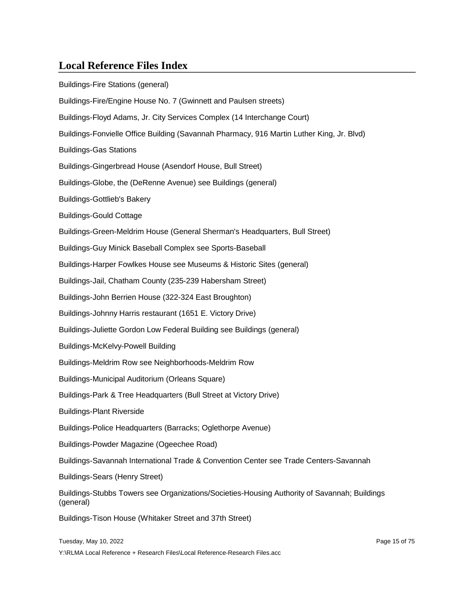Buildings-Fire Stations (general) Buildings-Fire/Engine House No. 7 (Gwinnett and Paulsen streets) Buildings-Floyd Adams, Jr. City Services Complex (14 Interchange Court) Buildings-Fonvielle Office Building (Savannah Pharmacy, 916 Martin Luther King, Jr. Blvd) Buildings-Gas Stations Buildings-Gingerbread House (Asendorf House, Bull Street) Buildings-Globe, the (DeRenne Avenue) see Buildings (general) Buildings-Gottlieb's Bakery Buildings-Gould Cottage Buildings-Green-Meldrim House (General Sherman's Headquarters, Bull Street) Buildings-Guy Minick Baseball Complex see Sports-Baseball Buildings-Harper Fowlkes House see Museums & Historic Sites (general) Buildings-Jail, Chatham County (235-239 Habersham Street) Buildings-John Berrien House (322-324 East Broughton) Buildings-Johnny Harris restaurant (1651 E. Victory Drive) Buildings-Juliette Gordon Low Federal Building see Buildings (general) Buildings-McKelvy-Powell Building Buildings-Meldrim Row see Neighborhoods-Meldrim Row Buildings-Municipal Auditorium (Orleans Square) Buildings-Park & Tree Headquarters (Bull Street at Victory Drive) Buildings-Plant Riverside Buildings-Police Headquarters (Barracks; Oglethorpe Avenue) Buildings-Powder Magazine (Ogeechee Road) Buildings-Savannah International Trade & Convention Center see Trade Centers-Savannah Buildings-Sears (Henry Street) Buildings-Stubbs Towers see Organizations/Societies-Housing Authority of Savannah; Buildings (general) Buildings-Tison House (Whitaker Street and 37th Street)

Tuesday, May 10, 2022 Page 15 of 75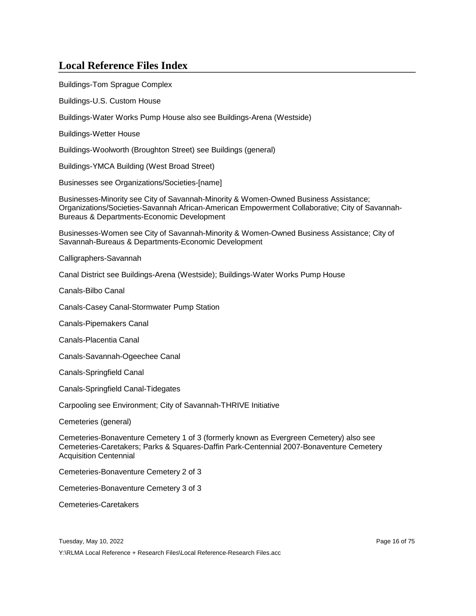Buildings-Tom Sprague Complex

Buildings-U.S. Custom House

Buildings-Water Works Pump House also see Buildings-Arena (Westside)

Buildings-Wetter House

Buildings-Woolworth (Broughton Street) see Buildings (general)

Buildings-YMCA Building (West Broad Street)

Businesses see Organizations/Societies-[name]

Businesses-Minority see City of Savannah-Minority & Women-Owned Business Assistance; Organizations/Societies-Savannah African-American Empowerment Collaborative; City of Savannah-Bureaus & Departments-Economic Development

Businesses-Women see City of Savannah-Minority & Women-Owned Business Assistance; City of Savannah-Bureaus & Departments-Economic Development

Calligraphers-Savannah

Canal District see Buildings-Arena (Westside); Buildings-Water Works Pump House

Canals-Bilbo Canal

Canals-Casey Canal-Stormwater Pump Station

Canals-Pipemakers Canal

Canals-Placentia Canal

Canals-Savannah-Ogeechee Canal

Canals-Springfield Canal

Canals-Springfield Canal-Tidegates

Carpooling see Environment; City of Savannah-THRIVE Initiative

Cemeteries (general)

Cemeteries-Bonaventure Cemetery 1 of 3 (formerly known as Evergreen Cemetery) also see Cemeteries-Caretakers; Parks & Squares-Daffin Park-Centennial 2007-Bonaventure Cemetery Acquisition Centennial

Cemeteries-Bonaventure Cemetery 2 of 3

Cemeteries-Bonaventure Cemetery 3 of 3

Cemeteries-Caretakers

Tuesday, May 10, 2022 **Page 16 of 75** and the US and the US and the Page 16 of 75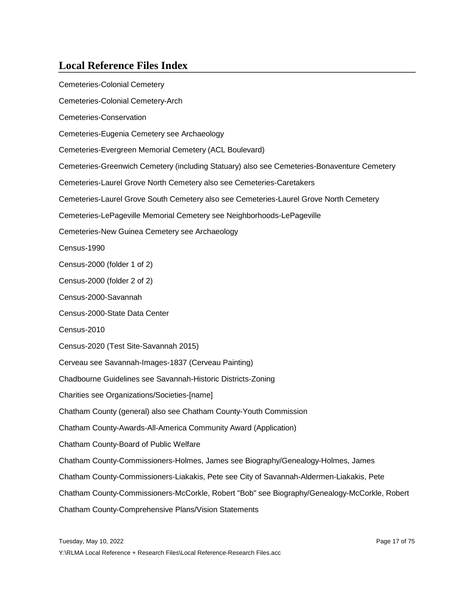Cemeteries-Colonial Cemetery Cemeteries-Colonial Cemetery-Arch Cemeteries-Conservation Cemeteries-Eugenia Cemetery see Archaeology Cemeteries-Evergreen Memorial Cemetery (ACL Boulevard) Cemeteries-Greenwich Cemetery (including Statuary) also see Cemeteries-Bonaventure Cemetery Cemeteries-Laurel Grove North Cemetery also see Cemeteries-Caretakers Cemeteries-Laurel Grove South Cemetery also see Cemeteries-Laurel Grove North Cemetery Cemeteries-LePageville Memorial Cemetery see Neighborhoods-LePageville Cemeteries-New Guinea Cemetery see Archaeology Census-1990 Census-2000 (folder 1 of 2) Census-2000 (folder 2 of 2) Census-2000-Savannah Census-2000-State Data Center Census-2010 Census-2020 (Test Site-Savannah 2015) Cerveau see Savannah-Images-1837 (Cerveau Painting) Chadbourne Guidelines see Savannah-Historic Districts-Zoning Charities see Organizations/Societies-[name] Chatham County (general) also see Chatham County-Youth Commission Chatham County-Awards-All-America Community Award (Application) Chatham County-Board of Public Welfare Chatham County-Commissioners-Holmes, James see Biography/Genealogy-Holmes, James Chatham County-Commissioners-Liakakis, Pete see City of Savannah-Aldermen-Liakakis, Pete Chatham County-Commissioners-McCorkle, Robert "Bob" see Biography/Genealogy-McCorkle, Robert Chatham County-Comprehensive Plans/Vision Statements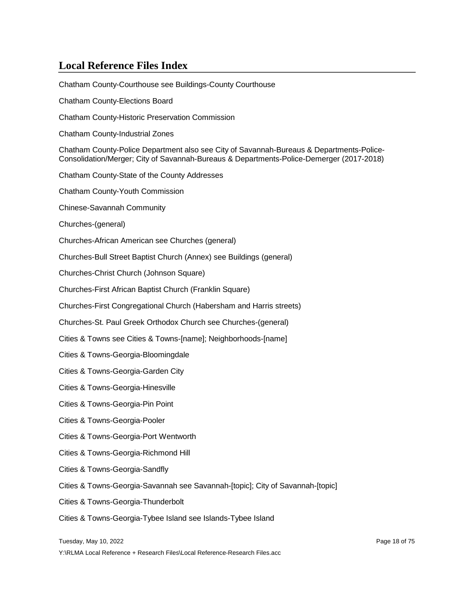Chatham County-Courthouse see Buildings-County Courthouse Chatham County-Elections Board Chatham County-Historic Preservation Commission Chatham County-Industrial Zones Chatham County-Police Department also see City of Savannah-Bureaus & Departments-Police-Consolidation/Merger; City of Savannah-Bureaus & Departments-Police-Demerger (2017-2018) Chatham County-State of the County Addresses Chatham County-Youth Commission Chinese-Savannah Community Churches-(general) Churches-African American see Churches (general) Churches-Bull Street Baptist Church (Annex) see Buildings (general) Churches-Christ Church (Johnson Square) Churches-First African Baptist Church (Franklin Square) Churches-First Congregational Church (Habersham and Harris streets) Churches-St. Paul Greek Orthodox Church see Churches-(general) Cities & Towns see Cities & Towns-[name]; Neighborhoods-[name] Cities & Towns-Georgia-Bloomingdale Cities & Towns-Georgia-Garden City Cities & Towns-Georgia-Hinesville Cities & Towns-Georgia-Pin Point Cities & Towns-Georgia-Pooler Cities & Towns-Georgia-Port Wentworth Cities & Towns-Georgia-Richmond Hill Cities & Towns-Georgia-Sandfly Cities & Towns-Georgia-Savannah see Savannah-[topic]; City of Savannah-[topic] Cities & Towns-Georgia-Thunderbolt Cities & Towns-Georgia-Tybee Island see Islands-Tybee Island Tuesday, May 10, 2022 Page 18 of 75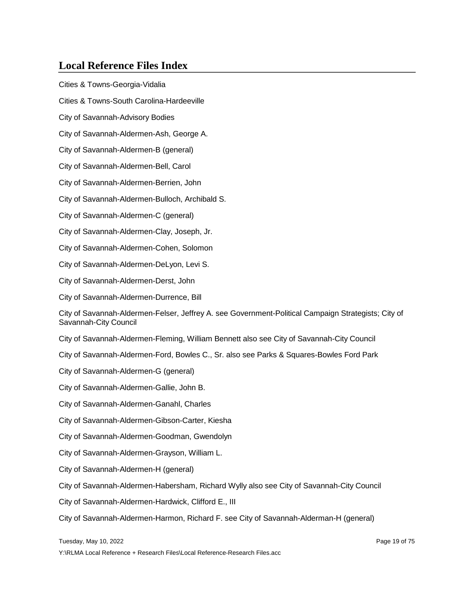Cities & Towns-Georgia-Vidalia Cities & Towns-South Carolina-Hardeeville City of Savannah-Advisory Bodies City of Savannah-Aldermen-Ash, George A. City of Savannah-Aldermen-B (general) City of Savannah-Aldermen-Bell, Carol City of Savannah-Aldermen-Berrien, John City of Savannah-Aldermen-Bulloch, Archibald S. City of Savannah-Aldermen-C (general) City of Savannah-Aldermen-Clay, Joseph, Jr. City of Savannah-Aldermen-Cohen, Solomon City of Savannah-Aldermen-DeLyon, Levi S. City of Savannah-Aldermen-Derst, John City of Savannah-Aldermen-Durrence, Bill City of Savannah-Aldermen-Felser, Jeffrey A. see Government-Political Campaign Strategists; City of Savannah-City Council City of Savannah-Aldermen-Fleming, William Bennett also see City of Savannah-City Council City of Savannah-Aldermen-Ford, Bowles C., Sr. also see Parks & Squares-Bowles Ford Park City of Savannah-Aldermen-G (general) City of Savannah-Aldermen-Gallie, John B. City of Savannah-Aldermen-Ganahl, Charles City of Savannah-Aldermen-Gibson-Carter, Kiesha City of Savannah-Aldermen-Goodman, Gwendolyn City of Savannah-Aldermen-Grayson, William L. City of Savannah-Aldermen-H (general) City of Savannah-Aldermen-Habersham, Richard Wylly also see City of Savannah-City Council City of Savannah-Aldermen-Hardwick, Clifford E., III City of Savannah-Aldermen-Harmon, Richard F. see City of Savannah-Alderman-H (general)

Tuesday, May 10, 2022 Page 19 of 75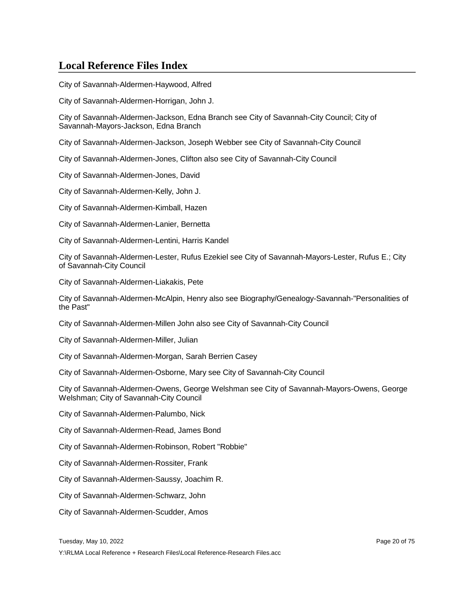City of Savannah-Aldermen-Haywood, Alfred

City of Savannah-Aldermen-Horrigan, John J.

City of Savannah-Aldermen-Jackson, Edna Branch see City of Savannah-City Council; City of Savannah-Mayors-Jackson, Edna Branch

City of Savannah-Aldermen-Jackson, Joseph Webber see City of Savannah-City Council

City of Savannah-Aldermen-Jones, Clifton also see City of Savannah-City Council

City of Savannah-Aldermen-Jones, David

City of Savannah-Aldermen-Kelly, John J.

City of Savannah-Aldermen-Kimball, Hazen

City of Savannah-Aldermen-Lanier, Bernetta

City of Savannah-Aldermen-Lentini, Harris Kandel

City of Savannah-Aldermen-Lester, Rufus Ezekiel see City of Savannah-Mayors-Lester, Rufus E.; City of Savannah-City Council

City of Savannah-Aldermen-Liakakis, Pete

City of Savannah-Aldermen-McAlpin, Henry also see Biography/Genealogy-Savannah-"Personalities of the Past"

City of Savannah-Aldermen-Millen John also see City of Savannah-City Council

City of Savannah-Aldermen-Miller, Julian

City of Savannah-Aldermen-Morgan, Sarah Berrien Casey

City of Savannah-Aldermen-Osborne, Mary see City of Savannah-City Council

City of Savannah-Aldermen-Owens, George Welshman see City of Savannah-Mayors-Owens, George Welshman; City of Savannah-City Council

City of Savannah-Aldermen-Palumbo, Nick

City of Savannah-Aldermen-Read, James Bond

City of Savannah-Aldermen-Robinson, Robert "Robbie"

City of Savannah-Aldermen-Rossiter, Frank

City of Savannah-Aldermen-Saussy, Joachim R.

City of Savannah-Aldermen-Schwarz, John

City of Savannah-Aldermen-Scudder, Amos

Tuesday, May 10, 2022 Page 20 of 75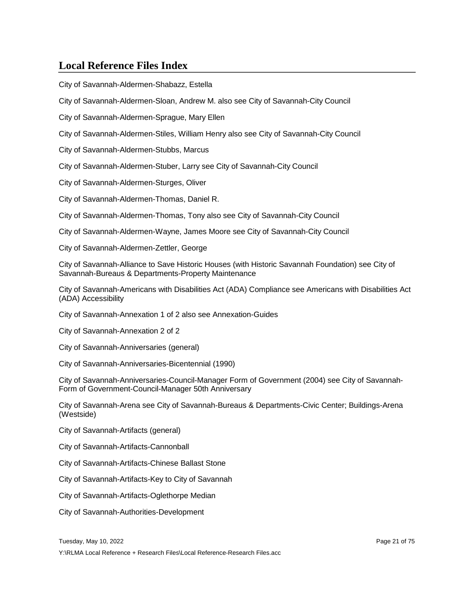City of Savannah-Aldermen-Shabazz, Estella

City of Savannah-Aldermen-Sloan, Andrew M. also see City of Savannah-City Council

City of Savannah-Aldermen-Sprague, Mary Ellen

City of Savannah-Aldermen-Stiles, William Henry also see City of Savannah-City Council

City of Savannah-Aldermen-Stubbs, Marcus

City of Savannah-Aldermen-Stuber, Larry see City of Savannah-City Council

City of Savannah-Aldermen-Sturges, Oliver

City of Savannah-Aldermen-Thomas, Daniel R.

City of Savannah-Aldermen-Thomas, Tony also see City of Savannah-City Council

City of Savannah-Aldermen-Wayne, James Moore see City of Savannah-City Council

City of Savannah-Aldermen-Zettler, George

City of Savannah-Alliance to Save Historic Houses (with Historic Savannah Foundation) see City of Savannah-Bureaus & Departments-Property Maintenance

City of Savannah-Americans with Disabilities Act (ADA) Compliance see Americans with Disabilities Act (ADA) Accessibility

City of Savannah-Annexation 1 of 2 also see Annexation-Guides

City of Savannah-Annexation 2 of 2

City of Savannah-Anniversaries (general)

City of Savannah-Anniversaries-Bicentennial (1990)

City of Savannah-Anniversaries-Council-Manager Form of Government (2004) see City of Savannah-Form of Government-Council-Manager 50th Anniversary

City of Savannah-Arena see City of Savannah-Bureaus & Departments-Civic Center; Buildings-Arena (Westside)

City of Savannah-Artifacts (general)

City of Savannah-Artifacts-Cannonball

City of Savannah-Artifacts-Chinese Ballast Stone

City of Savannah-Artifacts-Key to City of Savannah

City of Savannah-Artifacts-Oglethorpe Median

City of Savannah-Authorities-Development

Tuesday, May 10, 2022 Page 21 of 75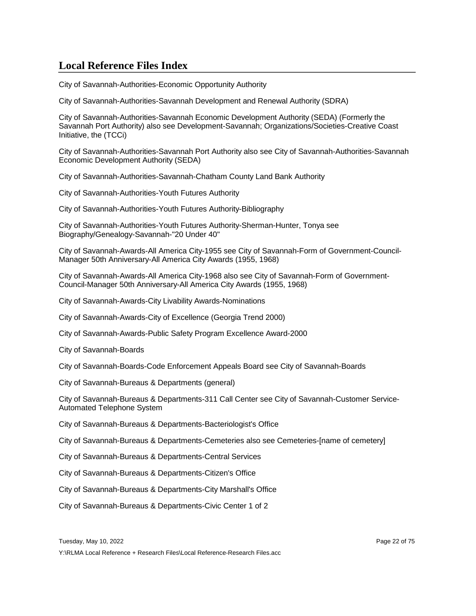City of Savannah-Authorities-Economic Opportunity Authority

City of Savannah-Authorities-Savannah Development and Renewal Authority (SDRA)

City of Savannah-Authorities-Savannah Economic Development Authority (SEDA) (Formerly the Savannah Port Authority) also see Development-Savannah; Organizations/Societies-Creative Coast Initiative, the (TCCi)

City of Savannah-Authorities-Savannah Port Authority also see City of Savannah-Authorities-Savannah Economic Development Authority (SEDA)

City of Savannah-Authorities-Savannah-Chatham County Land Bank Authority

City of Savannah-Authorities-Youth Futures Authority

City of Savannah-Authorities-Youth Futures Authority-Bibliography

City of Savannah-Authorities-Youth Futures Authority-Sherman-Hunter, Tonya see Biography/Genealogy-Savannah-"20 Under 40"

City of Savannah-Awards-All America City-1955 see City of Savannah-Form of Government-Council-Manager 50th Anniversary-All America City Awards (1955, 1968)

City of Savannah-Awards-All America City-1968 also see City of Savannah-Form of Government-Council-Manager 50th Anniversary-All America City Awards (1955, 1968)

City of Savannah-Awards-City Livability Awards-Nominations

City of Savannah-Awards-City of Excellence (Georgia Trend 2000)

City of Savannah-Awards-Public Safety Program Excellence Award-2000

City of Savannah-Boards

City of Savannah-Boards-Code Enforcement Appeals Board see City of Savannah-Boards

City of Savannah-Bureaus & Departments (general)

City of Savannah-Bureaus & Departments-311 Call Center see City of Savannah-Customer Service-Automated Telephone System

City of Savannah-Bureaus & Departments-Bacteriologist's Office

City of Savannah-Bureaus & Departments-Cemeteries also see Cemeteries-[name of cemetery]

City of Savannah-Bureaus & Departments-Central Services

City of Savannah-Bureaus & Departments-Citizen's Office

City of Savannah-Bureaus & Departments-City Marshall's Office

City of Savannah-Bureaus & Departments-Civic Center 1 of 2

Tuesday, May 10, 2022 Page 22 of 75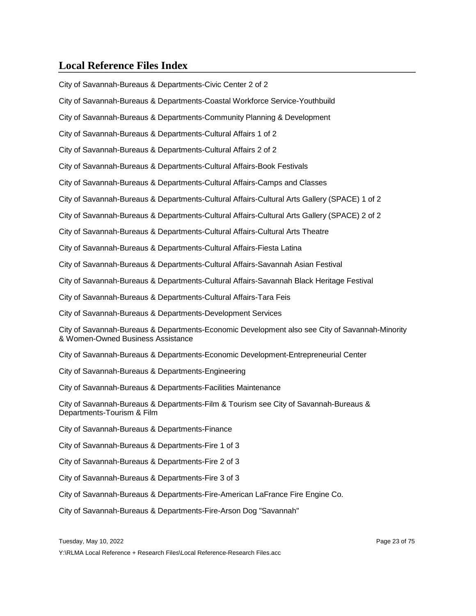City of Savannah-Bureaus & Departments-Civic Center 2 of 2

City of Savannah-Bureaus & Departments-Coastal Workforce Service-Youthbuild

City of Savannah-Bureaus & Departments-Community Planning & Development

City of Savannah-Bureaus & Departments-Cultural Affairs 1 of 2

City of Savannah-Bureaus & Departments-Cultural Affairs 2 of 2

City of Savannah-Bureaus & Departments-Cultural Affairs-Book Festivals

City of Savannah-Bureaus & Departments-Cultural Affairs-Camps and Classes

City of Savannah-Bureaus & Departments-Cultural Affairs-Cultural Arts Gallery (SPACE) 1 of 2

City of Savannah-Bureaus & Departments-Cultural Affairs-Cultural Arts Gallery (SPACE) 2 of 2

City of Savannah-Bureaus & Departments-Cultural Affairs-Cultural Arts Theatre

City of Savannah-Bureaus & Departments-Cultural Affairs-Fiesta Latina

City of Savannah-Bureaus & Departments-Cultural Affairs-Savannah Asian Festival

City of Savannah-Bureaus & Departments-Cultural Affairs-Savannah Black Heritage Festival

City of Savannah-Bureaus & Departments-Cultural Affairs-Tara Feis

City of Savannah-Bureaus & Departments-Development Services

City of Savannah-Bureaus & Departments-Economic Development also see City of Savannah-Minority & Women-Owned Business Assistance

City of Savannah-Bureaus & Departments-Economic Development-Entrepreneurial Center

City of Savannah-Bureaus & Departments-Engineering

City of Savannah-Bureaus & Departments-Facilities Maintenance

City of Savannah-Bureaus & Departments-Film & Tourism see City of Savannah-Bureaus & Departments-Tourism & Film

City of Savannah-Bureaus & Departments-Finance

City of Savannah-Bureaus & Departments-Fire 1 of 3

City of Savannah-Bureaus & Departments-Fire 2 of 3

City of Savannah-Bureaus & Departments-Fire 3 of 3

City of Savannah-Bureaus & Departments-Fire-American LaFrance Fire Engine Co.

City of Savannah-Bureaus & Departments-Fire-Arson Dog "Savannah"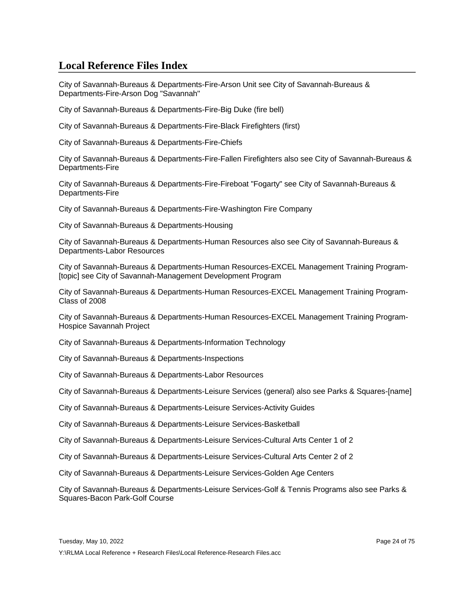City of Savannah-Bureaus & Departments-Fire-Arson Unit see City of Savannah-Bureaus & Departments-Fire-Arson Dog "Savannah"

City of Savannah-Bureaus & Departments-Fire-Big Duke (fire bell)

City of Savannah-Bureaus & Departments-Fire-Black Firefighters (first)

City of Savannah-Bureaus & Departments-Fire-Chiefs

City of Savannah-Bureaus & Departments-Fire-Fallen Firefighters also see City of Savannah-Bureaus & Departments-Fire

City of Savannah-Bureaus & Departments-Fire-Fireboat "Fogarty" see City of Savannah-Bureaus & Departments-Fire

City of Savannah-Bureaus & Departments-Fire-Washington Fire Company

City of Savannah-Bureaus & Departments-Housing

City of Savannah-Bureaus & Departments-Human Resources also see City of Savannah-Bureaus & Departments-Labor Resources

City of Savannah-Bureaus & Departments-Human Resources-EXCEL Management Training Program- [topic] see City of Savannah-Management Development Program

City of Savannah-Bureaus & Departments-Human Resources-EXCEL Management Training Program-Class of 2008

City of Savannah-Bureaus & Departments-Human Resources-EXCEL Management Training Program-Hospice Savannah Project

City of Savannah-Bureaus & Departments-Information Technology

City of Savannah-Bureaus & Departments-Inspections

City of Savannah-Bureaus & Departments-Labor Resources

City of Savannah-Bureaus & Departments-Leisure Services (general) also see Parks & Squares-[name]

City of Savannah-Bureaus & Departments-Leisure Services-Activity Guides

City of Savannah-Bureaus & Departments-Leisure Services-Basketball

City of Savannah-Bureaus & Departments-Leisure Services-Cultural Arts Center 1 of 2

City of Savannah-Bureaus & Departments-Leisure Services-Cultural Arts Center 2 of 2

City of Savannah-Bureaus & Departments-Leisure Services-Golden Age Centers

City of Savannah-Bureaus & Departments-Leisure Services-Golf & Tennis Programs also see Parks & Squares-Bacon Park-Golf Course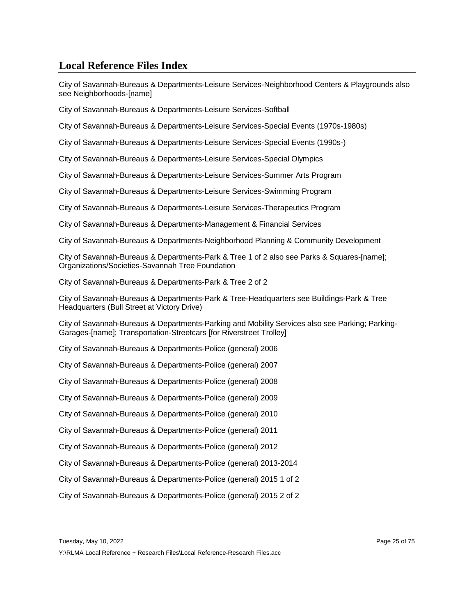City of Savannah-Bureaus & Departments-Leisure Services-Neighborhood Centers & Playgrounds also see Neighborhoods-[name]

City of Savannah-Bureaus & Departments-Leisure Services-Softball

City of Savannah-Bureaus & Departments-Leisure Services-Special Events (1970s-1980s)

City of Savannah-Bureaus & Departments-Leisure Services-Special Events (1990s-)

City of Savannah-Bureaus & Departments-Leisure Services-Special Olympics

City of Savannah-Bureaus & Departments-Leisure Services-Summer Arts Program

City of Savannah-Bureaus & Departments-Leisure Services-Swimming Program

City of Savannah-Bureaus & Departments-Leisure Services-Therapeutics Program

City of Savannah-Bureaus & Departments-Management & Financial Services

City of Savannah-Bureaus & Departments-Neighborhood Planning & Community Development

City of Savannah-Bureaus & Departments-Park & Tree 1 of 2 also see Parks & Squares-[name]; Organizations/Societies-Savannah Tree Foundation

City of Savannah-Bureaus & Departments-Park & Tree 2 of 2

City of Savannah-Bureaus & Departments-Park & Tree-Headquarters see Buildings-Park & Tree Headquarters (Bull Street at Victory Drive)

City of Savannah-Bureaus & Departments-Parking and Mobility Services also see Parking; Parking-Garages-[name]; Transportation-Streetcars [for Riverstreet Trolley]

City of Savannah-Bureaus & Departments-Police (general) 2006

City of Savannah-Bureaus & Departments-Police (general) 2007

City of Savannah-Bureaus & Departments-Police (general) 2008

City of Savannah-Bureaus & Departments-Police (general) 2009

City of Savannah-Bureaus & Departments-Police (general) 2010

City of Savannah-Bureaus & Departments-Police (general) 2011

City of Savannah-Bureaus & Departments-Police (general) 2012

City of Savannah-Bureaus & Departments-Police (general) 2013-2014

City of Savannah-Bureaus & Departments-Police (general) 2015 1 of 2

City of Savannah-Bureaus & Departments-Police (general) 2015 2 of 2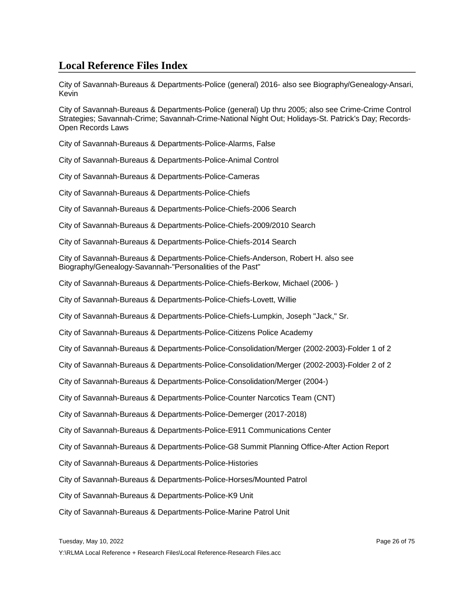City of Savannah-Bureaus & Departments-Police (general) 2016- also see Biography/Genealogy-Ansari, Kevin

City of Savannah-Bureaus & Departments-Police (general) Up thru 2005; also see Crime-Crime Control Strategies; Savannah-Crime; Savannah-Crime-National Night Out; Holidays-St. Patrick's Day; Records-Open Records Laws

City of Savannah-Bureaus & Departments-Police-Alarms, False

City of Savannah-Bureaus & Departments-Police-Animal Control

City of Savannah-Bureaus & Departments-Police-Cameras

City of Savannah-Bureaus & Departments-Police-Chiefs

City of Savannah-Bureaus & Departments-Police-Chiefs-2006 Search

City of Savannah-Bureaus & Departments-Police-Chiefs-2009/2010 Search

City of Savannah-Bureaus & Departments-Police-Chiefs-2014 Search

City of Savannah-Bureaus & Departments-Police-Chiefs-Anderson, Robert H. also see Biography/Genealogy-Savannah-"Personalities of the Past"

City of Savannah-Bureaus & Departments-Police-Chiefs-Berkow, Michael (2006- )

City of Savannah-Bureaus & Departments-Police-Chiefs-Lovett, Willie

City of Savannah-Bureaus & Departments-Police-Chiefs-Lumpkin, Joseph "Jack," Sr.

City of Savannah-Bureaus & Departments-Police-Citizens Police Academy

City of Savannah-Bureaus & Departments-Police-Consolidation/Merger (2002-2003)-Folder 1 of 2

City of Savannah-Bureaus & Departments-Police-Consolidation/Merger (2002-2003)-Folder 2 of 2

City of Savannah-Bureaus & Departments-Police-Consolidation/Merger (2004-)

City of Savannah-Bureaus & Departments-Police-Counter Narcotics Team (CNT)

City of Savannah-Bureaus & Departments-Police-Demerger (2017-2018)

City of Savannah-Bureaus & Departments-Police-E911 Communications Center

City of Savannah-Bureaus & Departments-Police-G8 Summit Planning Office-After Action Report

City of Savannah-Bureaus & Departments-Police-Histories

City of Savannah-Bureaus & Departments-Police-Horses/Mounted Patrol

City of Savannah-Bureaus & Departments-Police-K9 Unit

City of Savannah-Bureaus & Departments-Police-Marine Patrol Unit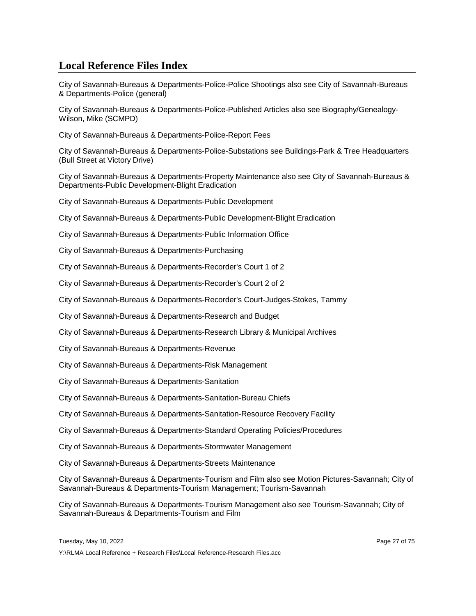City of Savannah-Bureaus & Departments-Police-Police Shootings also see City of Savannah-Bureaus & Departments-Police (general)

City of Savannah-Bureaus & Departments-Police-Published Articles also see Biography/Genealogy-Wilson, Mike (SCMPD)

City of Savannah-Bureaus & Departments-Police-Report Fees

City of Savannah-Bureaus & Departments-Police-Substations see Buildings-Park & Tree Headquarters (Bull Street at Victory Drive)

City of Savannah-Bureaus & Departments-Property Maintenance also see City of Savannah-Bureaus & Departments-Public Development-Blight Eradication

City of Savannah-Bureaus & Departments-Public Development

City of Savannah-Bureaus & Departments-Public Development-Blight Eradication

City of Savannah-Bureaus & Departments-Public Information Office

City of Savannah-Bureaus & Departments-Purchasing

City of Savannah-Bureaus & Departments-Recorder's Court 1 of 2

City of Savannah-Bureaus & Departments-Recorder's Court 2 of 2

City of Savannah-Bureaus & Departments-Recorder's Court-Judges-Stokes, Tammy

City of Savannah-Bureaus & Departments-Research and Budget

City of Savannah-Bureaus & Departments-Research Library & Municipal Archives

City of Savannah-Bureaus & Departments-Revenue

City of Savannah-Bureaus & Departments-Risk Management

City of Savannah-Bureaus & Departments-Sanitation

City of Savannah-Bureaus & Departments-Sanitation-Bureau Chiefs

City of Savannah-Bureaus & Departments-Sanitation-Resource Recovery Facility

City of Savannah-Bureaus & Departments-Standard Operating Policies/Procedures

City of Savannah-Bureaus & Departments-Stormwater Management

City of Savannah-Bureaus & Departments-Streets Maintenance

City of Savannah-Bureaus & Departments-Tourism and Film also see Motion Pictures-Savannah; City of Savannah-Bureaus & Departments-Tourism Management; Tourism-Savannah

City of Savannah-Bureaus & Departments-Tourism Management also see Tourism-Savannah; City of Savannah-Bureaus & Departments-Tourism and Film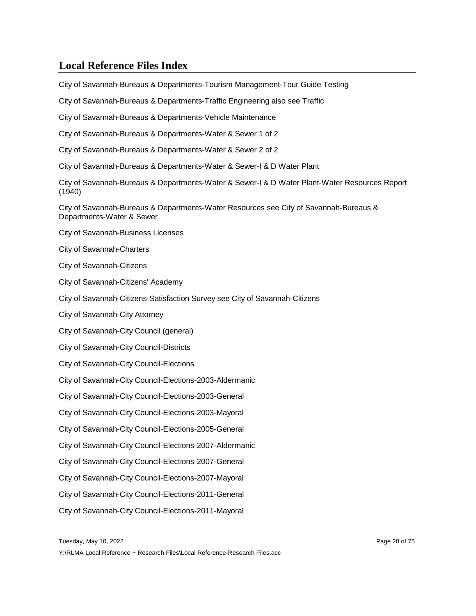City of Savannah-Bureaus & Departments-Tourism Management-Tour Guide Testing

City of Savannah-Bureaus & Departments-Traffic Engineering also see Traffic

City of Savannah-Bureaus & Departments-Vehicle Maintenance

City of Savannah-Bureaus & Departments-Water & Sewer 1 of 2

City of Savannah-Bureaus & Departments-Water & Sewer 2 of 2

City of Savannah-Bureaus & Departments-Water & Sewer-I & D Water Plant

City of Savannah-Bureaus & Departments-Water & Sewer-I & D Water Plant-Water Resources Report (1940)

City of Savannah-Bureaus & Departments-Water Resources see City of Savannah-Bureaus & Departments-Water & Sewer

City of Savannah-Business Licenses

City of Savannah-Charters

City of Savannah-Citizens

City of Savannah-Citizens' Academy

City of Savannah-Citizens-Satisfaction Survey see City of Savannah-Citizens

City of Savannah-City Attorney

City of Savannah-City Council (general)

City of Savannah-City Council-Districts

City of Savannah-City Council-Elections

City of Savannah-City Council-Elections-2003-Aldermanic

City of Savannah-City Council-Elections-2003-General

City of Savannah-City Council-Elections-2003-Mayoral

City of Savannah-City Council-Elections-2005-General

City of Savannah-City Council-Elections-2007-Aldermanic

City of Savannah-City Council-Elections-2007-General

City of Savannah-City Council-Elections-2007-Mayoral

City of Savannah-City Council-Elections-2011-General

City of Savannah-City Council-Elections-2011-Mayoral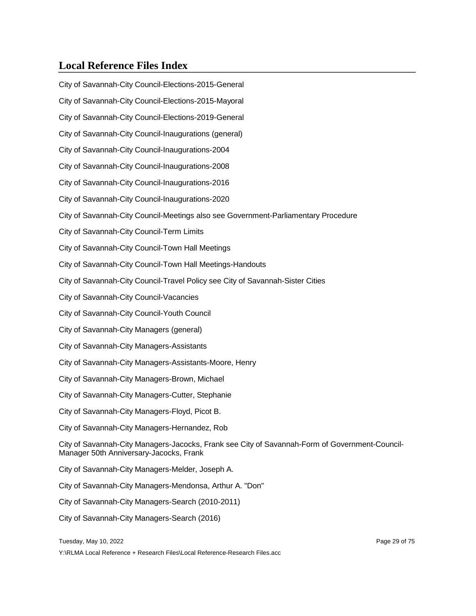City of Savannah-City Council-Elections-2015-General City of Savannah-City Council-Elections-2015-Mayoral City of Savannah-City Council-Elections-2019-General City of Savannah-City Council-Inaugurations (general) City of Savannah-City Council-Inaugurations-2004 City of Savannah-City Council-Inaugurations-2008 City of Savannah-City Council-Inaugurations-2016 City of Savannah-City Council-Inaugurations-2020 City of Savannah-City Council-Meetings also see Government-Parliamentary Procedure City of Savannah-City Council-Term Limits City of Savannah-City Council-Town Hall Meetings City of Savannah-City Council-Town Hall Meetings-Handouts City of Savannah-City Council-Travel Policy see City of Savannah-Sister Cities City of Savannah-City Council-Vacancies City of Savannah-City Council-Youth Council City of Savannah-City Managers (general) City of Savannah-City Managers-Assistants City of Savannah-City Managers-Assistants-Moore, Henry City of Savannah-City Managers-Brown, Michael City of Savannah-City Managers-Cutter, Stephanie City of Savannah-City Managers-Floyd, Picot B. City of Savannah-City Managers-Hernandez, Rob City of Savannah-City Managers-Jacocks, Frank see City of Savannah-Form of Government-Council-Manager 50th Anniversary-Jacocks, Frank City of Savannah-City Managers-Melder, Joseph A. City of Savannah-City Managers-Mendonsa, Arthur A. "Don" City of Savannah-City Managers-Search (2010-2011) City of Savannah-City Managers-Search (2016)

Tuesday, May 10, 2022 **Page 29 of 75** and 2022 **Page 29 of 75**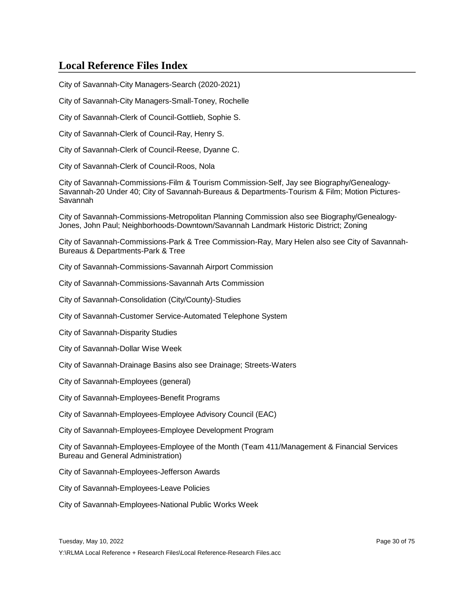City of Savannah-City Managers-Search (2020-2021)

City of Savannah-City Managers-Small-Toney, Rochelle

City of Savannah-Clerk of Council-Gottlieb, Sophie S.

City of Savannah-Clerk of Council-Ray, Henry S.

City of Savannah-Clerk of Council-Reese, Dyanne C.

City of Savannah-Clerk of Council-Roos, Nola

City of Savannah-Commissions-Film & Tourism Commission-Self, Jay see Biography/Genealogy-Savannah-20 Under 40; City of Savannah-Bureaus & Departments-Tourism & Film; Motion Pictures-Savannah

City of Savannah-Commissions-Metropolitan Planning Commission also see Biography/Genealogy-Jones, John Paul; Neighborhoods-Downtown/Savannah Landmark Historic District; Zoning

City of Savannah-Commissions-Park & Tree Commission-Ray, Mary Helen also see City of Savannah-Bureaus & Departments-Park & Tree

City of Savannah-Commissions-Savannah Airport Commission

City of Savannah-Commissions-Savannah Arts Commission

City of Savannah-Consolidation (City/County)-Studies

City of Savannah-Customer Service-Automated Telephone System

City of Savannah-Disparity Studies

City of Savannah-Dollar Wise Week

City of Savannah-Drainage Basins also see Drainage; Streets-Waters

City of Savannah-Employees (general)

City of Savannah-Employees-Benefit Programs

City of Savannah-Employees-Employee Advisory Council (EAC)

City of Savannah-Employees-Employee Development Program

City of Savannah-Employees-Employee of the Month (Team 411/Management & Financial Services Bureau and General Administration)

City of Savannah-Employees-Jefferson Awards

City of Savannah-Employees-Leave Policies

City of Savannah-Employees-National Public Works Week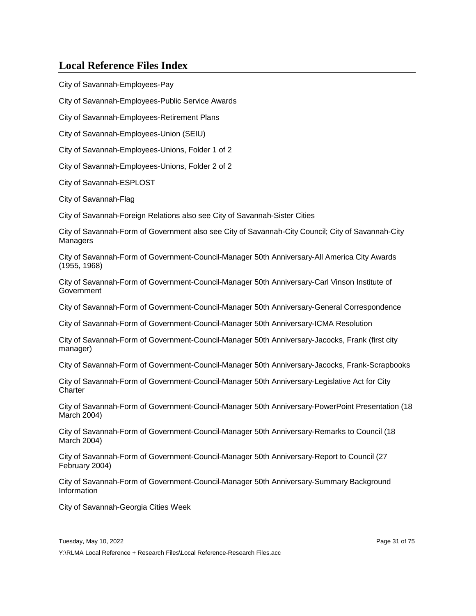City of Savannah-Employees-Pay

City of Savannah-Employees-Public Service Awards

City of Savannah-Employees-Retirement Plans

City of Savannah-Employees-Union (SEIU)

City of Savannah-Employees-Unions, Folder 1 of 2

City of Savannah-Employees-Unions, Folder 2 of 2

City of Savannah-ESPLOST

City of Savannah-Flag

City of Savannah-Foreign Relations also see City of Savannah-Sister Cities

City of Savannah-Form of Government also see City of Savannah-City Council; City of Savannah-City Managers

City of Savannah-Form of Government-Council-Manager 50th Anniversary-All America City Awards (1955, 1968)

City of Savannah-Form of Government-Council-Manager 50th Anniversary-Carl Vinson Institute of **Government** 

City of Savannah-Form of Government-Council-Manager 50th Anniversary-General Correspondence

City of Savannah-Form of Government-Council-Manager 50th Anniversary-ICMA Resolution

City of Savannah-Form of Government-Council-Manager 50th Anniversary-Jacocks, Frank (first city manager)

City of Savannah-Form of Government-Council-Manager 50th Anniversary-Jacocks, Frank-Scrapbooks

City of Savannah-Form of Government-Council-Manager 50th Anniversary-Legislative Act for City **Charter** 

City of Savannah-Form of Government-Council-Manager 50th Anniversary-PowerPoint Presentation (18 March 2004)

City of Savannah-Form of Government-Council-Manager 50th Anniversary-Remarks to Council (18 March 2004)

City of Savannah-Form of Government-Council-Manager 50th Anniversary-Report to Council (27 February 2004)

City of Savannah-Form of Government-Council-Manager 50th Anniversary-Summary Background Information

City of Savannah-Georgia Cities Week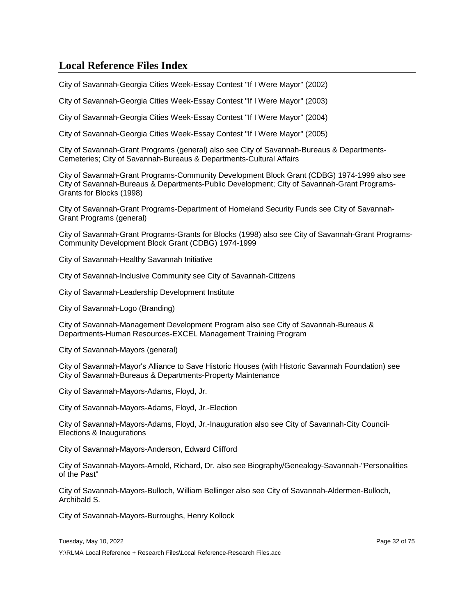City of Savannah-Georgia Cities Week-Essay Contest "If I Were Mayor" (2002)

City of Savannah-Georgia Cities Week-Essay Contest "If I Were Mayor" (2003)

City of Savannah-Georgia Cities Week-Essay Contest "If I Were Mayor" (2004)

City of Savannah-Georgia Cities Week-Essay Contest "If I Were Mayor" (2005)

City of Savannah-Grant Programs (general) also see City of Savannah-Bureaus & Departments-Cemeteries; City of Savannah-Bureaus & Departments-Cultural Affairs

City of Savannah-Grant Programs-Community Development Block Grant (CDBG) 1974-1999 also see City of Savannah-Bureaus & Departments-Public Development; City of Savannah-Grant Programs-Grants for Blocks (1998)

City of Savannah-Grant Programs-Department of Homeland Security Funds see City of Savannah-Grant Programs (general)

City of Savannah-Grant Programs-Grants for Blocks (1998) also see City of Savannah-Grant Programs-Community Development Block Grant (CDBG) 1974-1999

City of Savannah-Healthy Savannah Initiative

City of Savannah-Inclusive Community see City of Savannah-Citizens

City of Savannah-Leadership Development Institute

City of Savannah-Logo (Branding)

City of Savannah-Management Development Program also see City of Savannah-Bureaus & Departments-Human Resources-EXCEL Management Training Program

City of Savannah-Mayors (general)

City of Savannah-Mayor's Alliance to Save Historic Houses (with Historic Savannah Foundation) see City of Savannah-Bureaus & Departments-Property Maintenance

City of Savannah-Mayors-Adams, Floyd, Jr.

City of Savannah-Mayors-Adams, Floyd, Jr.-Election

City of Savannah-Mayors-Adams, Floyd, Jr.-Inauguration also see City of Savannah-City Council-Elections & Inaugurations

City of Savannah-Mayors-Anderson, Edward Clifford

City of Savannah-Mayors-Arnold, Richard, Dr. also see Biography/Genealogy-Savannah-"Personalities of the Past"

City of Savannah-Mayors-Bulloch, William Bellinger also see City of Savannah-Aldermen-Bulloch, Archibald S.

City of Savannah-Mayors-Burroughs, Henry Kollock

Tuesday, May 10, 2022 Page 32 of 75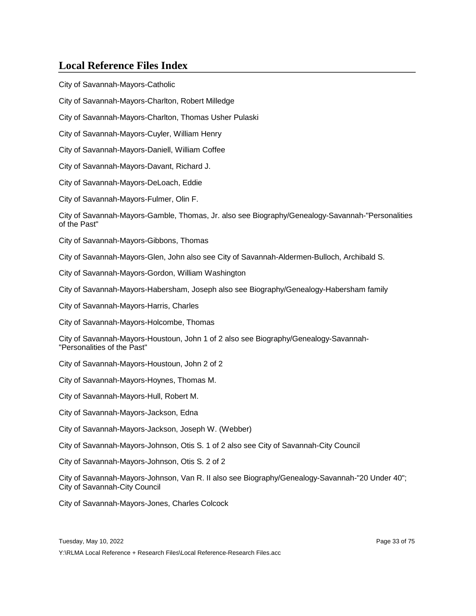City of Savannah-Mayors-Catholic City of Savannah-Mayors-Charlton, Robert Milledge City of Savannah-Mayors-Charlton, Thomas Usher Pulaski City of Savannah-Mayors-Cuyler, William Henry City of Savannah-Mayors-Daniell, William Coffee City of Savannah-Mayors-Davant, Richard J. City of Savannah-Mayors-DeLoach, Eddie City of Savannah-Mayors-Fulmer, Olin F. City of Savannah-Mayors-Gamble, Thomas, Jr. also see Biography/Genealogy-Savannah-"Personalities of the Past" City of Savannah-Mayors-Gibbons, Thomas City of Savannah-Mayors-Glen, John also see City of Savannah-Aldermen-Bulloch, Archibald S. City of Savannah-Mayors-Gordon, William Washington City of Savannah-Mayors-Habersham, Joseph also see Biography/Genealogy-Habersham family City of Savannah-Mayors-Harris, Charles City of Savannah-Mayors-Holcombe, Thomas City of Savannah-Mayors-Houstoun, John 1 of 2 also see Biography/Genealogy-Savannah- "Personalities of the Past" City of Savannah-Mayors-Houstoun, John 2 of 2 City of Savannah-Mayors-Hoynes, Thomas M. City of Savannah-Mayors-Hull, Robert M. City of Savannah-Mayors-Jackson, Edna City of Savannah-Mayors-Jackson, Joseph W. (Webber) City of Savannah-Mayors-Johnson, Otis S. 1 of 2 also see City of Savannah-City Council City of Savannah-Mayors-Johnson, Otis S. 2 of 2 City of Savannah-Mayors-Johnson, Van R. II also see Biography/Genealogy-Savannah-"20 Under 40"; City of Savannah-City Council City of Savannah-Mayors-Jones, Charles Colcock

Y:\RLMA Local Reference + Research Files\Local Reference-Research Files.acc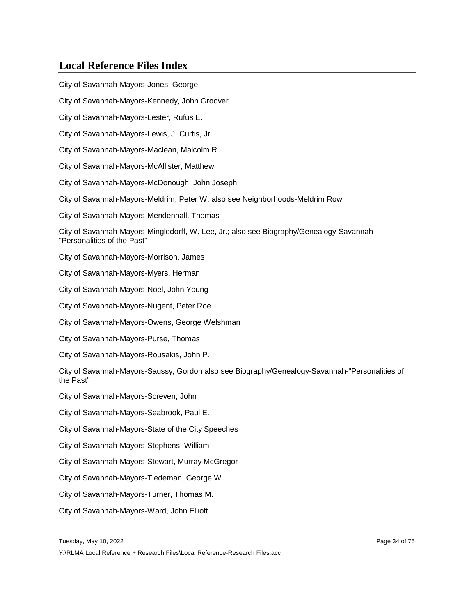City of Savannah-Mayors-Jones, George City of Savannah-Mayors-Kennedy, John Groover City of Savannah-Mayors-Lester, Rufus E. City of Savannah-Mayors-Lewis, J. Curtis, Jr. City of Savannah-Mayors-Maclean, Malcolm R. City of Savannah-Mayors-McAllister, Matthew City of Savannah-Mayors-McDonough, John Joseph City of Savannah-Mayors-Meldrim, Peter W. also see Neighborhoods-Meldrim Row City of Savannah-Mayors-Mendenhall, Thomas City of Savannah-Mayors-Mingledorff, W. Lee, Jr.; also see Biography/Genealogy-Savannah- "Personalities of the Past" City of Savannah-Mayors-Morrison, James City of Savannah-Mayors-Myers, Herman City of Savannah-Mayors-Noel, John Young City of Savannah-Mayors-Nugent, Peter Roe City of Savannah-Mayors-Owens, George Welshman City of Savannah-Mayors-Purse, Thomas City of Savannah-Mayors-Rousakis, John P. City of Savannah-Mayors-Saussy, Gordon also see Biography/Genealogy-Savannah-"Personalities of the Past" City of Savannah-Mayors-Screven, John City of Savannah-Mayors-Seabrook, Paul E. City of Savannah-Mayors-State of the City Speeches City of Savannah-Mayors-Stephens, William City of Savannah-Mayors-Stewart, Murray McGregor City of Savannah-Mayors-Tiedeman, George W. City of Savannah-Mayors-Turner, Thomas M. City of Savannah-Mayors-Ward, John Elliott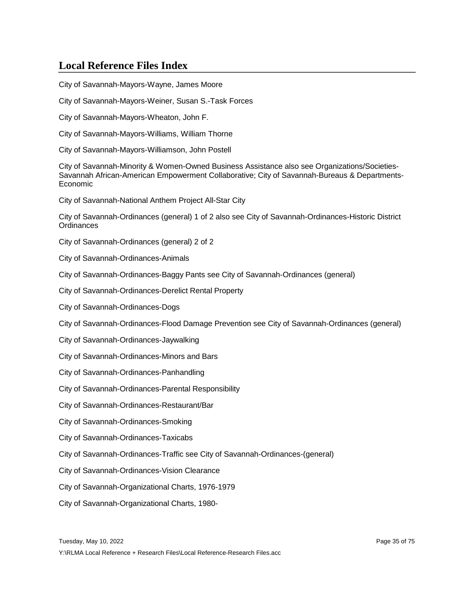City of Savannah-Mayors-Wayne, James Moore

City of Savannah-Mayors-Weiner, Susan S.-Task Forces

City of Savannah-Mayors-Wheaton, John F.

City of Savannah-Mayors-Williams, William Thorne

City of Savannah-Mayors-Williamson, John Postell

City of Savannah-Minority & Women-Owned Business Assistance also see Organizations/Societies-Savannah African-American Empowerment Collaborative; City of Savannah-Bureaus & Departments-Economic

City of Savannah-National Anthem Project All-Star City

City of Savannah-Ordinances (general) 1 of 2 also see City of Savannah-Ordinances-Historic District **Ordinances** 

City of Savannah-Ordinances (general) 2 of 2

City of Savannah-Ordinances-Animals

City of Savannah-Ordinances-Baggy Pants see City of Savannah-Ordinances (general)

City of Savannah-Ordinances-Derelict Rental Property

City of Savannah-Ordinances-Dogs

City of Savannah-Ordinances-Flood Damage Prevention see City of Savannah-Ordinances (general)

City of Savannah-Ordinances-Jaywalking

City of Savannah-Ordinances-Minors and Bars

City of Savannah-Ordinances-Panhandling

City of Savannah-Ordinances-Parental Responsibility

City of Savannah-Ordinances-Restaurant/Bar

City of Savannah-Ordinances-Smoking

City of Savannah-Ordinances-Taxicabs

City of Savannah-Ordinances-Traffic see City of Savannah-Ordinances-(general)

City of Savannah-Ordinances-Vision Clearance

City of Savannah-Organizational Charts, 1976-1979

City of Savannah-Organizational Charts, 1980-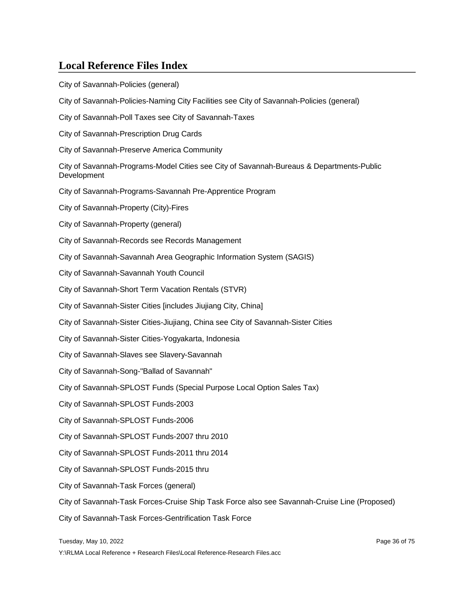City of Savannah-Policies (general)

City of Savannah-Policies-Naming City Facilities see City of Savannah-Policies (general)

City of Savannah-Poll Taxes see City of Savannah-Taxes

City of Savannah-Prescription Drug Cards

City of Savannah-Preserve America Community

City of Savannah-Programs-Model Cities see City of Savannah-Bureaus & Departments-Public Development

City of Savannah-Programs-Savannah Pre-Apprentice Program

City of Savannah-Property (City)-Fires

City of Savannah-Property (general)

City of Savannah-Records see Records Management

City of Savannah-Savannah Area Geographic Information System (SAGIS)

City of Savannah-Savannah Youth Council

City of Savannah-Short Term Vacation Rentals (STVR)

City of Savannah-Sister Cities [includes Jiujiang City, China]

City of Savannah-Sister Cities-Jiujiang, China see City of Savannah-Sister Cities

City of Savannah-Sister Cities-Yogyakarta, Indonesia

City of Savannah-Slaves see Slavery-Savannah

City of Savannah-Song-"Ballad of Savannah"

City of Savannah-SPLOST Funds (Special Purpose Local Option Sales Tax)

City of Savannah-SPLOST Funds-2003

City of Savannah-SPLOST Funds-2006

City of Savannah-SPLOST Funds-2007 thru 2010

City of Savannah-SPLOST Funds-2011 thru 2014

City of Savannah-SPLOST Funds-2015 thru

City of Savannah-Task Forces (general)

City of Savannah-Task Forces-Cruise Ship Task Force also see Savannah-Cruise Line (Proposed)

City of Savannah-Task Forces-Gentrification Task Force

Tuesday, May 10, 2022 Page 36 of 75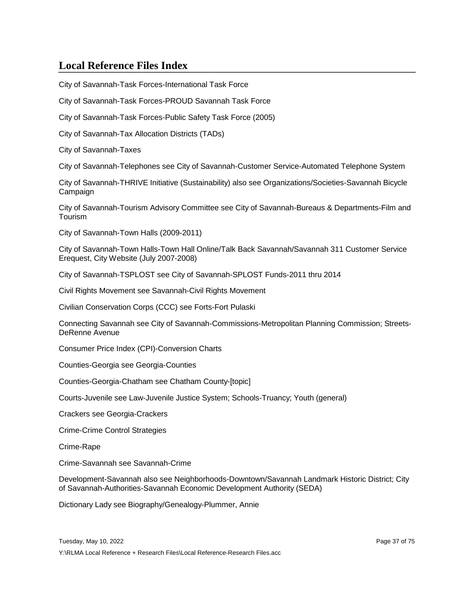City of Savannah-Task Forces-International Task Force

City of Savannah-Task Forces-PROUD Savannah Task Force

City of Savannah-Task Forces-Public Safety Task Force (2005)

City of Savannah-Tax Allocation Districts (TADs)

City of Savannah-Taxes

City of Savannah-Telephones see City of Savannah-Customer Service-Automated Telephone System

City of Savannah-THRIVE Initiative (Sustainability) also see Organizations/Societies-Savannah Bicycle **Campaign** 

City of Savannah-Tourism Advisory Committee see City of Savannah-Bureaus & Departments-Film and Tourism

City of Savannah-Town Halls (2009-2011)

City of Savannah-Town Halls-Town Hall Online/Talk Back Savannah/Savannah 311 Customer Service Erequest, City Website (July 2007-2008)

City of Savannah-TSPLOST see City of Savannah-SPLOST Funds-2011 thru 2014

Civil Rights Movement see Savannah-Civil Rights Movement

Civilian Conservation Corps (CCC) see Forts-Fort Pulaski

Connecting Savannah see City of Savannah-Commissions-Metropolitan Planning Commission; Streets-DeRenne Avenue

Consumer Price Index (CPI)-Conversion Charts

Counties-Georgia see Georgia-Counties

Counties-Georgia-Chatham see Chatham County-[topic]

Courts-Juvenile see Law-Juvenile Justice System; Schools-Truancy; Youth (general)

Crackers see Georgia-Crackers

Crime-Crime Control Strategies

Crime-Rape

Crime-Savannah see Savannah-Crime

Development-Savannah also see Neighborhoods-Downtown/Savannah Landmark Historic District; City of Savannah-Authorities-Savannah Economic Development Authority (SEDA)

Dictionary Lady see Biography/Genealogy-Plummer, Annie

Tuesday, May 10, 2022 Page 37 of 75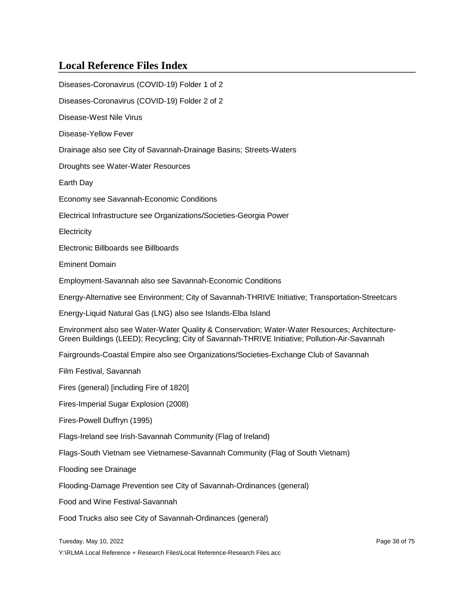| Diseases-Coronavirus (COVID-19) Folder 1 of 2                                                                                                                                                  |
|------------------------------------------------------------------------------------------------------------------------------------------------------------------------------------------------|
| Diseases-Coronavirus (COVID-19) Folder 2 of 2                                                                                                                                                  |
| Disease-West Nile Virus                                                                                                                                                                        |
| Disease-Yellow Fever                                                                                                                                                                           |
| Drainage also see City of Savannah-Drainage Basins; Streets-Waters                                                                                                                             |
| Droughts see Water-Water Resources                                                                                                                                                             |
| Earth Day                                                                                                                                                                                      |
| Economy see Savannah-Economic Conditions                                                                                                                                                       |
| Electrical Infrastructure see Organizations/Societies-Georgia Power                                                                                                                            |
| Electricity                                                                                                                                                                                    |
| Electronic Billboards see Billboards                                                                                                                                                           |
| <b>Eminent Domain</b>                                                                                                                                                                          |
| Employment-Savannah also see Savannah-Economic Conditions                                                                                                                                      |
| Energy-Alternative see Environment; City of Savannah-THRIVE Initiative; Transportation-Streetcars                                                                                              |
| Energy-Liquid Natural Gas (LNG) also see Islands-Elba Island                                                                                                                                   |
| Environment also see Water-Water Quality & Conservation; Water-Water Resources; Architecture-<br>Green Buildings (LEED); Recycling; City of Savannah-THRIVE Initiative; Pollution-Air-Savannah |
| Fairgrounds-Coastal Empire also see Organizations/Societies-Exchange Club of Savannah                                                                                                          |
| Film Festival, Savannah                                                                                                                                                                        |
| Fires (general) [including Fire of 1820]                                                                                                                                                       |
| Fires-Imperial Sugar Explosion (2008)                                                                                                                                                          |
| Fires-Powell Duffryn (1995)                                                                                                                                                                    |
| Flags-Ireland see Irish-Savannah Community (Flag of Ireland)                                                                                                                                   |
| Flags-South Vietnam see Vietnamese-Savannah Community (Flag of South Vietnam)                                                                                                                  |
| <b>Flooding see Drainage</b>                                                                                                                                                                   |
| Flooding-Damage Prevention see City of Savannah-Ordinances (general)                                                                                                                           |
| Food and Wine Festival-Savannah                                                                                                                                                                |
| Food Trucks also see City of Savannah-Ordinances (general)                                                                                                                                     |
| Tuesday, May 10, 2022<br>Page 38 of 75                                                                                                                                                         |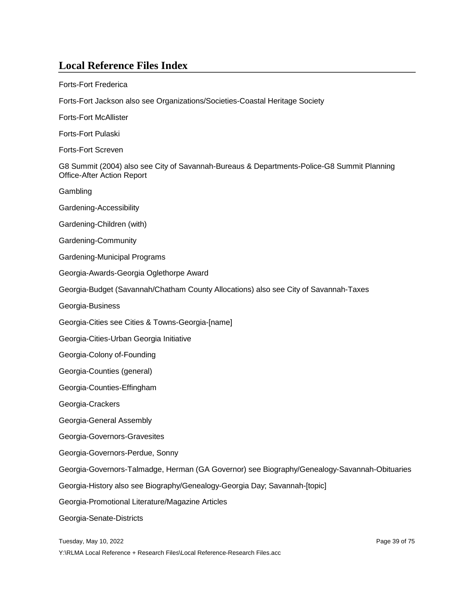Forts-Fort Frederica

Forts-Fort Jackson also see Organizations/Societies-Coastal Heritage Society

Forts-Fort McAllister

Forts-Fort Pulaski

Forts-Fort Screven

G8 Summit (2004) also see City of Savannah-Bureaus & Departments-Police-G8 Summit Planning Office-After Action Report

**Gambling** 

Gardening-Accessibility

Gardening-Children (with)

Gardening-Community

Gardening-Municipal Programs

Georgia-Awards-Georgia Oglethorpe Award

Georgia-Budget (Savannah/Chatham County Allocations) also see City of Savannah-Taxes

Georgia-Business

Georgia-Cities see Cities & Towns-Georgia-[name]

Georgia-Cities-Urban Georgia Initiative

Georgia-Colony of-Founding

Georgia-Counties (general)

Georgia-Counties-Effingham

Georgia-Crackers

Georgia-General Assembly

Georgia-Governors-Gravesites

Georgia-Governors-Perdue, Sonny

Georgia-Governors-Talmadge, Herman (GA Governor) see Biography/Genealogy-Savannah-Obituaries

Georgia-History also see Biography/Genealogy-Georgia Day; Savannah-[topic]

Georgia-Promotional Literature/Magazine Articles

Georgia-Senate-Districts

Tuesday, May 10, 2022 Page 39 of 75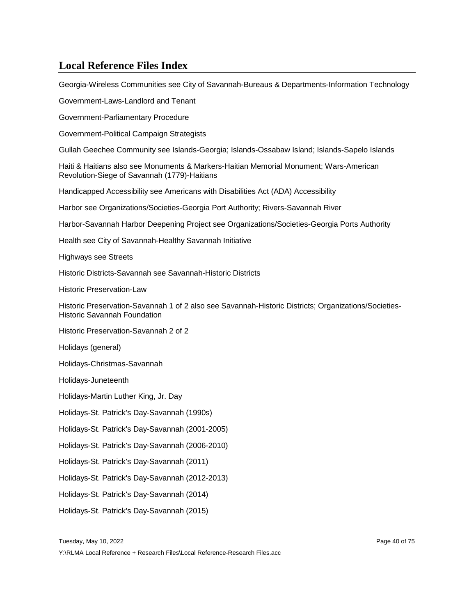Georgia-Wireless Communities see City of Savannah-Bureaus & Departments-Information Technology

Government-Laws-Landlord and Tenant

Government-Parliamentary Procedure

Government-Political Campaign Strategists

Gullah Geechee Community see Islands-Georgia; Islands-Ossabaw Island; Islands-Sapelo Islands

Haiti & Haitians also see Monuments & Markers-Haitian Memorial Monument; Wars-American Revolution-Siege of Savannah (1779)-Haitians

Handicapped Accessibility see Americans with Disabilities Act (ADA) Accessibility

Harbor see Organizations/Societies-Georgia Port Authority; Rivers-Savannah River

Harbor-Savannah Harbor Deepening Project see Organizations/Societies-Georgia Ports Authority

Health see City of Savannah-Healthy Savannah Initiative

Highways see Streets

Historic Districts-Savannah see Savannah-Historic Districts

Historic Preservation-Law

Historic Preservation-Savannah 1 of 2 also see Savannah-Historic Districts; Organizations/Societies-Historic Savannah Foundation

Historic Preservation-Savannah 2 of 2

Holidays (general)

Holidays-Christmas-Savannah

Holidays-Juneteenth

Holidays-Martin Luther King, Jr. Day

Holidays-St. Patrick's Day-Savannah (1990s)

Holidays-St. Patrick's Day-Savannah (2001-2005)

Holidays-St. Patrick's Day-Savannah (2006-2010)

Holidays-St. Patrick's Day-Savannah (2011)

Holidays-St. Patrick's Day-Savannah (2012-2013)

Holidays-St. Patrick's Day-Savannah (2014)

Holidays-St. Patrick's Day-Savannah (2015)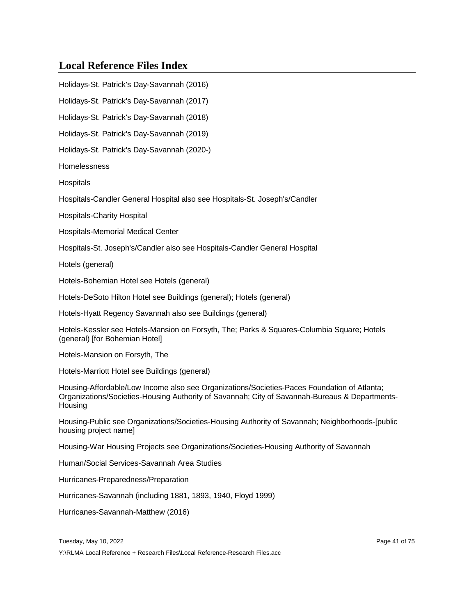Holidays-St. Patrick's Day-Savannah (2016) Holidays-St. Patrick's Day-Savannah (2017) Holidays-St. Patrick's Day-Savannah (2018) Holidays-St. Patrick's Day-Savannah (2019) Holidays-St. Patrick's Day-Savannah (2020-) Homelessness **Hospitals** Hospitals-Candler General Hospital also see Hospitals-St. Joseph's/Candler Hospitals-Charity Hospital Hospitals-Memorial Medical Center Hospitals-St. Joseph's/Candler also see Hospitals-Candler General Hospital Hotels (general) Hotels-Bohemian Hotel see Hotels (general) Hotels-DeSoto Hilton Hotel see Buildings (general); Hotels (general) Hotels-Hyatt Regency Savannah also see Buildings (general) Hotels-Kessler see Hotels-Mansion on Forsyth, The; Parks & Squares-Columbia Square; Hotels (general) [for Bohemian Hotel] Hotels-Mansion on Forsyth, The Hotels-Marriott Hotel see Buildings (general) Housing-Affordable/Low Income also see Organizations/Societies-Paces Foundation of Atlanta; Organizations/Societies-Housing Authority of Savannah; City of Savannah-Bureaus & Departments-**Housing** Housing-Public see Organizations/Societies-Housing Authority of Savannah; Neighborhoods-[public housing project name] Housing-War Housing Projects see Organizations/Societies-Housing Authority of Savannah Human/Social Services-Savannah Area Studies Hurricanes-Preparedness/Preparation Hurricanes-Savannah (including 1881, 1893, 1940, Floyd 1999) Hurricanes-Savannah-Matthew (2016)

Tuesday, May 10, 2022 Page 41 of 75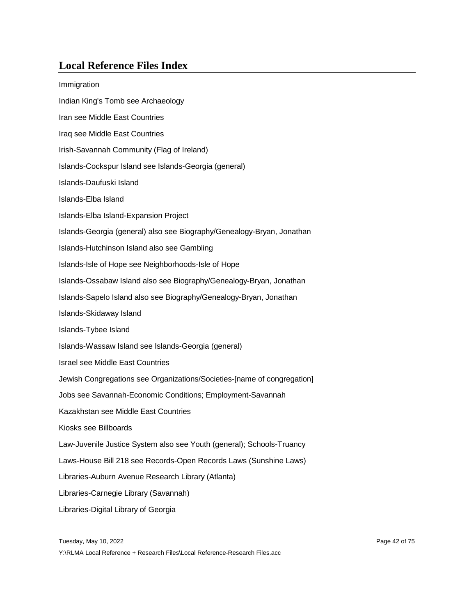| Immigration                                                             |  |
|-------------------------------------------------------------------------|--|
| Indian King's Tomb see Archaeology                                      |  |
| Iran see Middle East Countries                                          |  |
| Iraq see Middle East Countries                                          |  |
| Irish-Savannah Community (Flag of Ireland)                              |  |
| Islands-Cockspur Island see Islands-Georgia (general)                   |  |
| Islands-Daufuski Island                                                 |  |
| Islands-Elba Island                                                     |  |
| Islands-Elba Island-Expansion Project                                   |  |
| Islands-Georgia (general) also see Biography/Genealogy-Bryan, Jonathan  |  |
| Islands-Hutchinson Island also see Gambling                             |  |
| Islands-Isle of Hope see Neighborhoods-Isle of Hope                     |  |
| Islands-Ossabaw Island also see Biography/Genealogy-Bryan, Jonathan     |  |
| Islands-Sapelo Island also see Biography/Genealogy-Bryan, Jonathan      |  |
| Islands-Skidaway Island                                                 |  |
| Islands-Tybee Island                                                    |  |
| Islands-Wassaw Island see Islands-Georgia (general)                     |  |
| <b>Israel see Middle East Countries</b>                                 |  |
| Jewish Congregations see Organizations/Societies-[name of congregation] |  |
| Jobs see Savannah-Economic Conditions; Employment-Savannah              |  |
| Kazakhstan see Middle East Countries                                    |  |
| Kiosks see Billboards                                                   |  |
| Law-Juvenile Justice System also see Youth (general); Schools-Truancy   |  |
| Laws-House Bill 218 see Records-Open Records Laws (Sunshine Laws)       |  |
| Libraries-Auburn Avenue Research Library (Atlanta)                      |  |
| Libraries-Carnegie Library (Savannah)                                   |  |
| Libraries-Digital Library of Georgia                                    |  |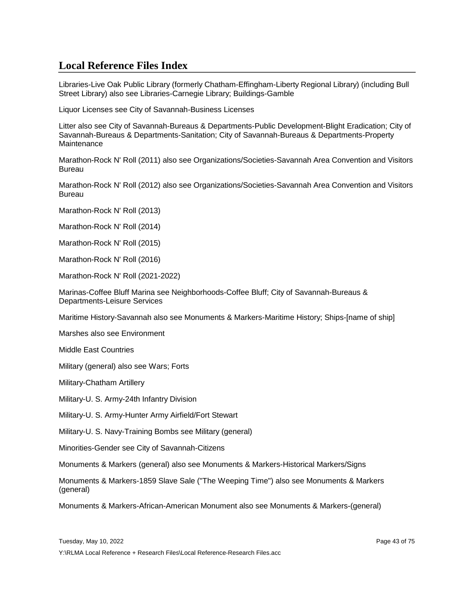Libraries-Live Oak Public Library (formerly Chatham-Effingham-Liberty Regional Library) (including Bull Street Library) also see Libraries-Carnegie Library; Buildings-Gamble

Liquor Licenses see City of Savannah-Business Licenses

Litter also see City of Savannah-Bureaus & Departments-Public Development-Blight Eradication; City of Savannah-Bureaus & Departments-Sanitation; City of Savannah-Bureaus & Departments-Property **Maintenance** 

Marathon-Rock N' Roll (2011) also see Organizations/Societies-Savannah Area Convention and Visitors Bureau

Marathon-Rock N' Roll (2012) also see Organizations/Societies-Savannah Area Convention and Visitors Bureau

Marathon-Rock N' Roll (2013)

Marathon-Rock N' Roll (2014)

Marathon-Rock N' Roll (2015)

Marathon-Rock N' Roll (2016)

Marathon-Rock N' Roll (2021-2022)

Marinas-Coffee Bluff Marina see Neighborhoods-Coffee Bluff; City of Savannah-Bureaus & Departments-Leisure Services

Maritime History-Savannah also see Monuments & Markers-Maritime History; Ships-[name of ship]

Marshes also see Environment

Middle East Countries

Military (general) also see Wars; Forts

Military-Chatham Artillery

Military-U. S. Army-24th Infantry Division

Military-U. S. Army-Hunter Army Airfield/Fort Stewart

Military-U. S. Navy-Training Bombs see Military (general)

Minorities-Gender see City of Savannah-Citizens

Monuments & Markers (general) also see Monuments & Markers-Historical Markers/Signs

Monuments & Markers-1859 Slave Sale ("The Weeping Time") also see Monuments & Markers (general)

Monuments & Markers-African-American Monument also see Monuments & Markers-(general)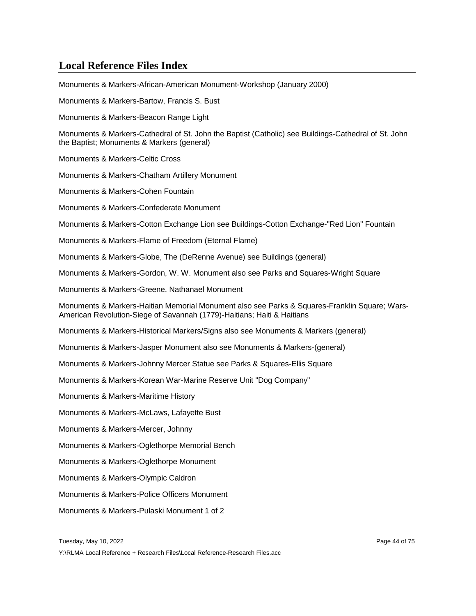Monuments & Markers-African-American Monument-Workshop (January 2000) Monuments & Markers-Bartow, Francis S. Bust Monuments & Markers-Beacon Range Light Monuments & Markers-Cathedral of St. John the Baptist (Catholic) see Buildings-Cathedral of St. John the Baptist; Monuments & Markers (general) Monuments & Markers-Celtic Cross Monuments & Markers-Chatham Artillery Monument Monuments & Markers-Cohen Fountain Monuments & Markers-Confederate Monument Monuments & Markers-Cotton Exchange Lion see Buildings-Cotton Exchange-"Red Lion" Fountain Monuments & Markers-Flame of Freedom (Eternal Flame) Monuments & Markers-Globe, The (DeRenne Avenue) see Buildings (general) Monuments & Markers-Gordon, W. W. Monument also see Parks and Squares-Wright Square Monuments & Markers-Greene, Nathanael Monument Monuments & Markers-Haitian Memorial Monument also see Parks & Squares-Franklin Square; Wars-American Revolution-Siege of Savannah (1779)-Haitians; Haiti & Haitians Monuments & Markers-Historical Markers/Signs also see Monuments & Markers (general) Monuments & Markers-Jasper Monument also see Monuments & Markers-(general) Monuments & Markers-Johnny Mercer Statue see Parks & Squares-Ellis Square Monuments & Markers-Korean War-Marine Reserve Unit "Dog Company" Monuments & Markers-Maritime History Monuments & Markers-McLaws, Lafayette Bust Monuments & Markers-Mercer, Johnny Monuments & Markers-Oglethorpe Memorial Bench Monuments & Markers-Oglethorpe Monument Monuments & Markers-Olympic Caldron Monuments & Markers-Police Officers Monument Monuments & Markers-Pulaski Monument 1 of 2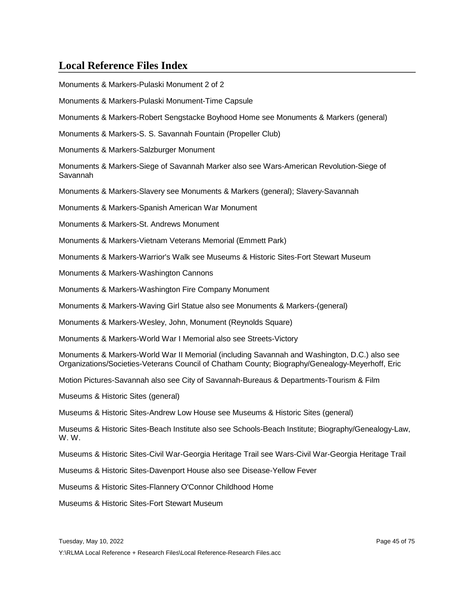| Monuments & Markers-Pulaski Monument 2 of 2                                                                                                                                                     |
|-------------------------------------------------------------------------------------------------------------------------------------------------------------------------------------------------|
| Monuments & Markers-Pulaski Monument-Time Capsule                                                                                                                                               |
| Monuments & Markers-Robert Sengstacke Boyhood Home see Monuments & Markers (general)                                                                                                            |
| Monuments & Markers-S. S. Savannah Fountain (Propeller Club)                                                                                                                                    |
| Monuments & Markers-Salzburger Monument                                                                                                                                                         |
| Monuments & Markers-Siege of Savannah Marker also see Wars-American Revolution-Siege of<br>Savannah                                                                                             |
| Monuments & Markers-Slavery see Monuments & Markers (general); Slavery-Savannah                                                                                                                 |
| Monuments & Markers-Spanish American War Monument                                                                                                                                               |
| Monuments & Markers-St. Andrews Monument                                                                                                                                                        |
| Monuments & Markers-Vietnam Veterans Memorial (Emmett Park)                                                                                                                                     |
| Monuments & Markers-Warrior's Walk see Museums & Historic Sites-Fort Stewart Museum                                                                                                             |
| Monuments & Markers-Washington Cannons                                                                                                                                                          |
| Monuments & Markers-Washington Fire Company Monument                                                                                                                                            |
| Monuments & Markers-Waving Girl Statue also see Monuments & Markers-(general)                                                                                                                   |
| Monuments & Markers-Wesley, John, Monument (Reynolds Square)                                                                                                                                    |
| Monuments & Markers-World War I Memorial also see Streets-Victory                                                                                                                               |
| Monuments & Markers-World War II Memorial (including Savannah and Washington, D.C.) also see<br>Organizations/Societies-Veterans Council of Chatham County; Biography/Genealogy-Meyerhoff, Eric |
| Motion Pictures-Savannah also see City of Savannah-Bureaus & Departments-Tourism & Film                                                                                                         |
| Museums & Historic Sites (general)                                                                                                                                                              |
| Museums & Historic Sites-Andrew Low House see Museums & Historic Sites (general)                                                                                                                |
| Museums & Historic Sites-Beach Institute also see Schools-Beach Institute; Biography/Genealogy-Law,<br>W.W.                                                                                     |
| Museums & Historic Sites-Civil War-Georgia Heritage Trail see Wars-Civil War-Georgia Heritage Trail                                                                                             |
| Museums & Historic Sites-Davenport House also see Disease-Yellow Fever                                                                                                                          |
| Museums & Historic Sites-Flannery O'Connor Childhood Home                                                                                                                                       |
| Museums & Historic Sites-Fort Stewart Museum                                                                                                                                                    |
|                                                                                                                                                                                                 |
| Tuesday, May 10, 2022<br>Page 45 of 75                                                                                                                                                          |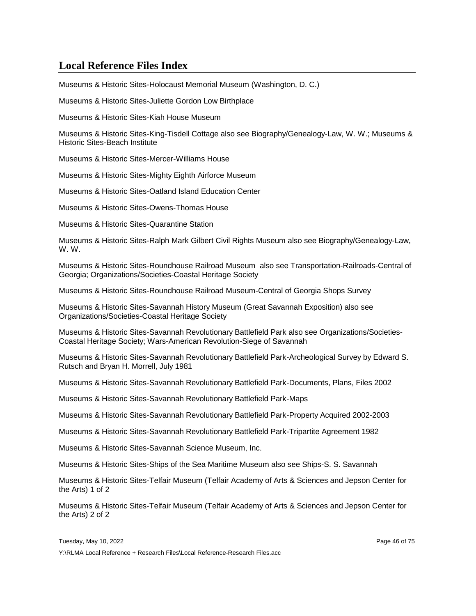Museums & Historic Sites-Holocaust Memorial Museum (Washington, D. C.)

Museums & Historic Sites-Juliette Gordon Low Birthplace

Museums & Historic Sites-Kiah House Museum

Museums & Historic Sites-King-Tisdell Cottage also see Biography/Genealogy-Law, W. W.; Museums & Historic Sites-Beach Institute

Museums & Historic Sites-Mercer-Williams House

Museums & Historic Sites-Mighty Eighth Airforce Museum

Museums & Historic Sites-Oatland Island Education Center

Museums & Historic Sites-Owens-Thomas House

Museums & Historic Sites-Quarantine Station

Museums & Historic Sites-Ralph Mark Gilbert Civil Rights Museum also see Biography/Genealogy-Law, W. W.

Museums & Historic Sites-Roundhouse Railroad Museum also see Transportation-Railroads-Central of Georgia; Organizations/Societies-Coastal Heritage Society

Museums & Historic Sites-Roundhouse Railroad Museum-Central of Georgia Shops Survey

Museums & Historic Sites-Savannah History Museum (Great Savannah Exposition) also see Organizations/Societies-Coastal Heritage Society

Museums & Historic Sites-Savannah Revolutionary Battlefield Park also see Organizations/Societies-Coastal Heritage Society; Wars-American Revolution-Siege of Savannah

Museums & Historic Sites-Savannah Revolutionary Battlefield Park-Archeological Survey by Edward S. Rutsch and Bryan H. Morrell, July 1981

Museums & Historic Sites-Savannah Revolutionary Battlefield Park-Documents, Plans, Files 2002

Museums & Historic Sites-Savannah Revolutionary Battlefield Park-Maps

Museums & Historic Sites-Savannah Revolutionary Battlefield Park-Property Acquired 2002-2003

Museums & Historic Sites-Savannah Revolutionary Battlefield Park-Tripartite Agreement 1982

Museums & Historic Sites-Savannah Science Museum, Inc.

Museums & Historic Sites-Ships of the Sea Maritime Museum also see Ships-S. S. Savannah

Museums & Historic Sites-Telfair Museum (Telfair Academy of Arts & Sciences and Jepson Center for the Arts) 1 of 2

Museums & Historic Sites-Telfair Museum (Telfair Academy of Arts & Sciences and Jepson Center for the Arts) 2 of 2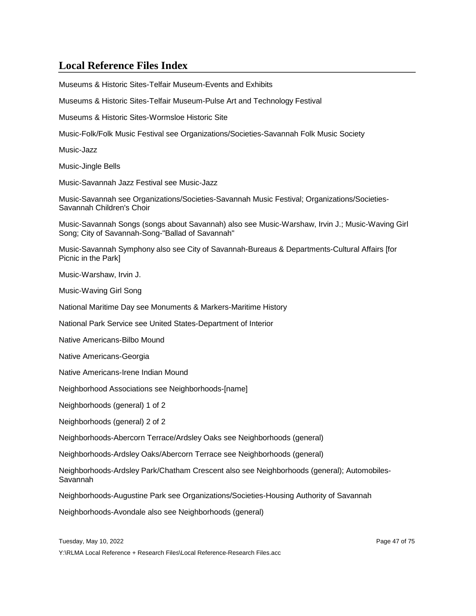Museums & Historic Sites-Telfair Museum-Events and Exhibits Museums & Historic Sites-Telfair Museum-Pulse Art and Technology Festival Museums & Historic Sites-Wormsloe Historic Site Music-Folk/Folk Music Festival see Organizations/Societies-Savannah Folk Music Society Music-Jazz Music-Jingle Bells Music-Savannah Jazz Festival see Music-Jazz Music-Savannah see Organizations/Societies-Savannah Music Festival; Organizations/Societies-Savannah Children's Choir Music-Savannah Songs (songs about Savannah) also see Music-Warshaw, Irvin J.; Music-Waving Girl Song; City of Savannah-Song-"Ballad of Savannah" Music-Savannah Symphony also see City of Savannah-Bureaus & Departments-Cultural Affairs [for Picnic in the Park] Music-Warshaw, Irvin J. Music-Waving Girl Song National Maritime Day see Monuments & Markers-Maritime History National Park Service see United States-Department of Interior Native Americans-Bilbo Mound Native Americans-Georgia Native Americans-Irene Indian Mound Neighborhood Associations see Neighborhoods-[name] Neighborhoods (general) 1 of 2 Neighborhoods (general) 2 of 2 Neighborhoods-Abercorn Terrace/Ardsley Oaks see Neighborhoods (general) Neighborhoods-Ardsley Oaks/Abercorn Terrace see Neighborhoods (general) Neighborhoods-Ardsley Park/Chatham Crescent also see Neighborhoods (general); Automobiles-Savannah Neighborhoods-Augustine Park see Organizations/Societies-Housing Authority of Savannah Neighborhoods-Avondale also see Neighborhoods (general) Tuesday, May 10, 2022 **Page 47 of 75** and the US and the US and the Page 47 of 75 Y:\RLMA Local Reference + Research Files\Local Reference-Research Files.acc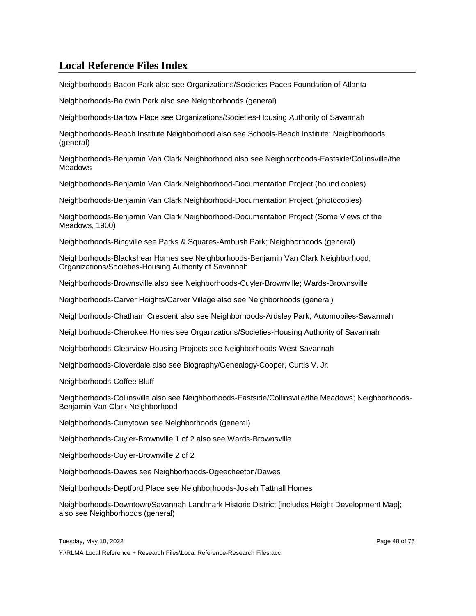Neighborhoods-Bacon Park also see Organizations/Societies-Paces Foundation of Atlanta

Neighborhoods-Baldwin Park also see Neighborhoods (general)

Neighborhoods-Bartow Place see Organizations/Societies-Housing Authority of Savannah

Neighborhoods-Beach Institute Neighborhood also see Schools-Beach Institute; Neighborhoods (general)

Neighborhoods-Benjamin Van Clark Neighborhood also see Neighborhoods-Eastside/Collinsville/the **Meadows** 

Neighborhoods-Benjamin Van Clark Neighborhood-Documentation Project (bound copies)

Neighborhoods-Benjamin Van Clark Neighborhood-Documentation Project (photocopies)

Neighborhoods-Benjamin Van Clark Neighborhood-Documentation Project (Some Views of the Meadows, 1900)

Neighborhoods-Bingville see Parks & Squares-Ambush Park; Neighborhoods (general)

Neighborhoods-Blackshear Homes see Neighborhoods-Benjamin Van Clark Neighborhood; Organizations/Societies-Housing Authority of Savannah

Neighborhoods-Brownsville also see Neighborhoods-Cuyler-Brownville; Wards-Brownsville

Neighborhoods-Carver Heights/Carver Village also see Neighborhoods (general)

Neighborhoods-Chatham Crescent also see Neighborhoods-Ardsley Park; Automobiles-Savannah

Neighborhoods-Cherokee Homes see Organizations/Societies-Housing Authority of Savannah

Neighborhoods-Clearview Housing Projects see Neighborhoods-West Savannah

Neighborhoods-Cloverdale also see Biography/Genealogy-Cooper, Curtis V. Jr.

Neighborhoods-Coffee Bluff

Neighborhoods-Collinsville also see Neighborhoods-Eastside/Collinsville/the Meadows; Neighborhoods-Benjamin Van Clark Neighborhood

Neighborhoods-Currytown see Neighborhoods (general)

Neighborhoods-Cuyler-Brownville 1 of 2 also see Wards-Brownsville

Neighborhoods-Cuyler-Brownville 2 of 2

Neighborhoods-Dawes see Neighborhoods-Ogeecheeton/Dawes

Neighborhoods-Deptford Place see Neighborhoods-Josiah Tattnall Homes

Neighborhoods-Downtown/Savannah Landmark Historic District [includes Height Development Map]; also see Neighborhoods (general)

Tuesday, May 10, 2022 Page 48 of 75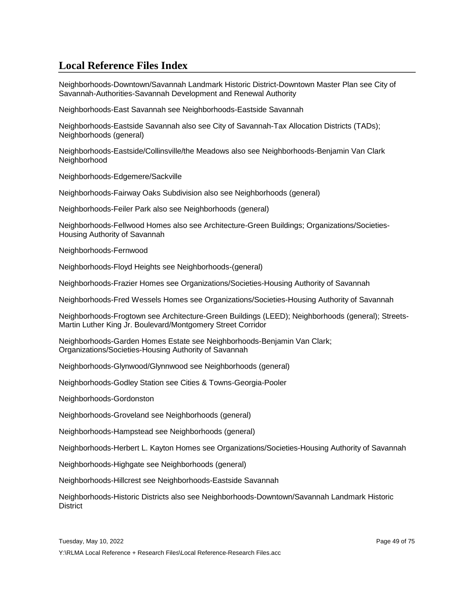Neighborhoods-Downtown/Savannah Landmark Historic District-Downtown Master Plan see City of Savannah-Authorities-Savannah Development and Renewal Authority

Neighborhoods-East Savannah see Neighborhoods-Eastside Savannah

Neighborhoods-Eastside Savannah also see City of Savannah-Tax Allocation Districts (TADs); Neighborhoods (general)

Neighborhoods-Eastside/Collinsville/the Meadows also see Neighborhoods-Benjamin Van Clark **Neighborhood** 

Neighborhoods-Edgemere/Sackville

Neighborhoods-Fairway Oaks Subdivision also see Neighborhoods (general)

Neighborhoods-Feiler Park also see Neighborhoods (general)

Neighborhoods-Fellwood Homes also see Architecture-Green Buildings; Organizations/Societies-Housing Authority of Savannah

Neighborhoods-Fernwood

Neighborhoods-Floyd Heights see Neighborhoods-(general)

Neighborhoods-Frazier Homes see Organizations/Societies-Housing Authority of Savannah

Neighborhoods-Fred Wessels Homes see Organizations/Societies-Housing Authority of Savannah

Neighborhoods-Frogtown see Architecture-Green Buildings (LEED); Neighborhoods (general); Streets-Martin Luther King Jr. Boulevard/Montgomery Street Corridor

Neighborhoods-Garden Homes Estate see Neighborhoods-Benjamin Van Clark; Organizations/Societies-Housing Authority of Savannah

Neighborhoods-Glynwood/Glynnwood see Neighborhoods (general)

Neighborhoods-Godley Station see Cities & Towns-Georgia-Pooler

Neighborhoods-Gordonston

Neighborhoods-Groveland see Neighborhoods (general)

Neighborhoods-Hampstead see Neighborhoods (general)

Neighborhoods-Herbert L. Kayton Homes see Organizations/Societies-Housing Authority of Savannah

Neighborhoods-Highgate see Neighborhoods (general)

Neighborhoods-Hillcrest see Neighborhoods-Eastside Savannah

Neighborhoods-Historic Districts also see Neighborhoods-Downtown/Savannah Landmark Historic **District**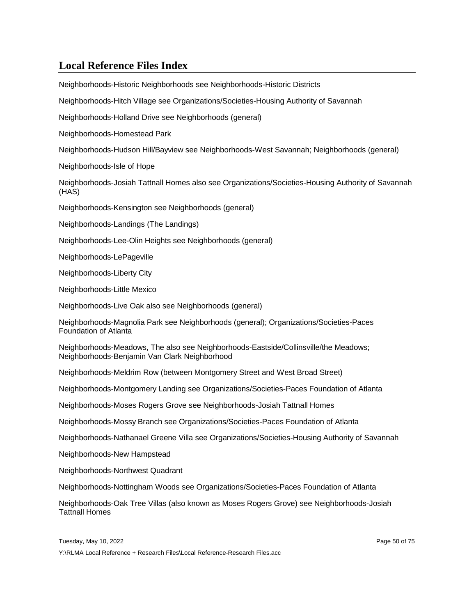Neighborhoods-Historic Neighborhoods see Neighborhoods-Historic Districts

Neighborhoods-Hitch Village see Organizations/Societies-Housing Authority of Savannah

Neighborhoods-Holland Drive see Neighborhoods (general)

Neighborhoods-Homestead Park

Neighborhoods-Hudson Hill/Bayview see Neighborhoods-West Savannah; Neighborhoods (general)

Neighborhoods-Isle of Hope

Neighborhoods-Josiah Tattnall Homes also see Organizations/Societies-Housing Authority of Savannah (HAS)

Neighborhoods-Kensington see Neighborhoods (general)

Neighborhoods-Landings (The Landings)

Neighborhoods-Lee-Olin Heights see Neighborhoods (general)

Neighborhoods-LePageville

Neighborhoods-Liberty City

Neighborhoods-Little Mexico

Neighborhoods-Live Oak also see Neighborhoods (general)

Neighborhoods-Magnolia Park see Neighborhoods (general); Organizations/Societies-Paces Foundation of Atlanta

Neighborhoods-Meadows, The also see Neighborhoods-Eastside/Collinsville/the Meadows; Neighborhoods-Benjamin Van Clark Neighborhood

Neighborhoods-Meldrim Row (between Montgomery Street and West Broad Street)

Neighborhoods-Montgomery Landing see Organizations/Societies-Paces Foundation of Atlanta

Neighborhoods-Moses Rogers Grove see Neighborhoods-Josiah Tattnall Homes

Neighborhoods-Mossy Branch see Organizations/Societies-Paces Foundation of Atlanta

Neighborhoods-Nathanael Greene Villa see Organizations/Societies-Housing Authority of Savannah

Neighborhoods-New Hampstead

Neighborhoods-Northwest Quadrant

Neighborhoods-Nottingham Woods see Organizations/Societies-Paces Foundation of Atlanta

Neighborhoods-Oak Tree Villas (also known as Moses Rogers Grove) see Neighborhoods-Josiah Tattnall Homes

Tuesday, May 10, 2022 Page 50 of 75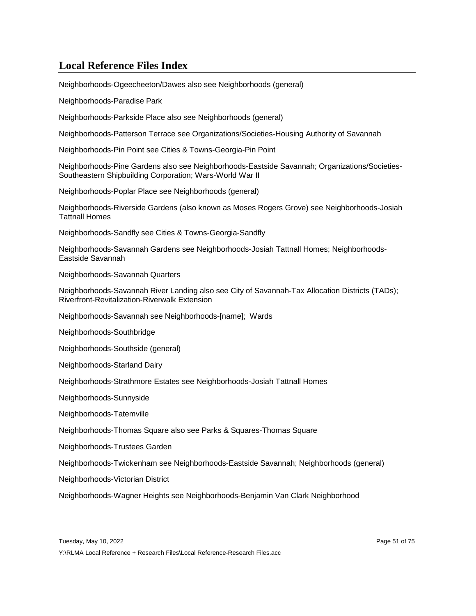Neighborhoods-Ogeecheeton/Dawes also see Neighborhoods (general)

Neighborhoods-Paradise Park

Neighborhoods-Parkside Place also see Neighborhoods (general)

Neighborhoods-Patterson Terrace see Organizations/Societies-Housing Authority of Savannah

Neighborhoods-Pin Point see Cities & Towns-Georgia-Pin Point

Neighborhoods-Pine Gardens also see Neighborhoods-Eastside Savannah; Organizations/Societies-Southeastern Shipbuilding Corporation; Wars-World War II

Neighborhoods-Poplar Place see Neighborhoods (general)

Neighborhoods-Riverside Gardens (also known as Moses Rogers Grove) see Neighborhoods-Josiah Tattnall Homes

Neighborhoods-Sandfly see Cities & Towns-Georgia-Sandfly

Neighborhoods-Savannah Gardens see Neighborhoods-Josiah Tattnall Homes; Neighborhoods-Eastside Savannah

Neighborhoods-Savannah Quarters

Neighborhoods-Savannah River Landing also see City of Savannah-Tax Allocation Districts (TADs); Riverfront-Revitalization-Riverwalk Extension

Neighborhoods-Savannah see Neighborhoods-[name]; Wards

Neighborhoods-Southbridge

Neighborhoods-Southside (general)

Neighborhoods-Starland Dairy

Neighborhoods-Strathmore Estates see Neighborhoods-Josiah Tattnall Homes

Neighborhoods-Sunnyside

Neighborhoods-Tatemville

Neighborhoods-Thomas Square also see Parks & Squares-Thomas Square

Neighborhoods-Trustees Garden

Neighborhoods-Twickenham see Neighborhoods-Eastside Savannah; Neighborhoods (general)

Neighborhoods-Victorian District

Neighborhoods-Wagner Heights see Neighborhoods-Benjamin Van Clark Neighborhood

Tuesday, May 10, 2022 Page 51 of 75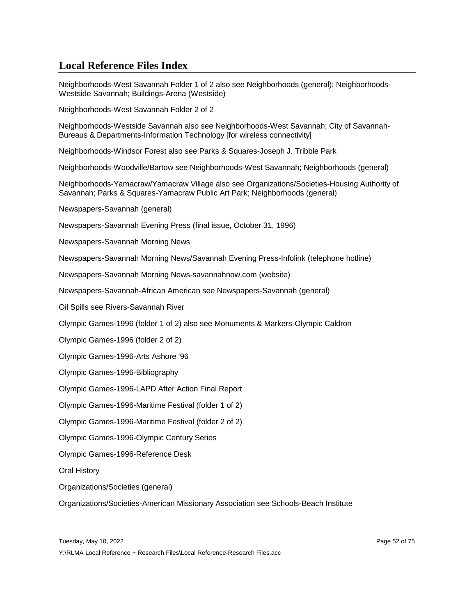Neighborhoods-West Savannah Folder 1 of 2 also see Neighborhoods (general); Neighborhoods-Westside Savannah; Buildings-Arena (Westside)

Neighborhoods-West Savannah Folder 2 of 2

Neighborhoods-Westside Savannah also see Neighborhoods-West Savannah; City of Savannah-Bureaus & Departments-Information Technology [for wireless connectivity]

Neighborhoods-Windsor Forest also see Parks & Squares-Joseph J. Tribble Park

Neighborhoods-Woodville/Bartow see Neighborhoods-West Savannah; Neighborhoods (general)

Neighborhoods-Yamacraw/Yamacraw Village also see Organizations/Societies-Housing Authority of Savannah; Parks & Squares-Yamacraw Public Art Park; Neighborhoods (general)

Newspapers-Savannah (general)

Newspapers-Savannah Evening Press (final issue, October 31, 1996)

Newspapers-Savannah Morning News

Newspapers-Savannah Morning News/Savannah Evening Press-Infolink (telephone hotline)

Newspapers-Savannah Morning News-savannahnow.com (website)

Newspapers-Savannah-African American see Newspapers-Savannah (general)

Oil Spills see Rivers-Savannah River

Olympic Games-1996 (folder 1 of 2) also see Monuments & Markers-Olympic Caldron

Olympic Games-1996 (folder 2 of 2)

Olympic Games-1996-Arts Ashore '96

Olympic Games-1996-Bibliography

Olympic Games-1996-LAPD After Action Final Report

Olympic Games-1996-Maritime Festival (folder 1 of 2)

Olympic Games-1996-Maritime Festival (folder 2 of 2)

Olympic Games-1996-Olympic Century Series

Olympic Games-1996-Reference Desk

Oral History

Organizations/Societies (general)

Organizations/Societies-American Missionary Association see Schools-Beach Institute

Tuesday, May 10, 2022 **Page 52 of 75** and 2022 **Page 52 of 75**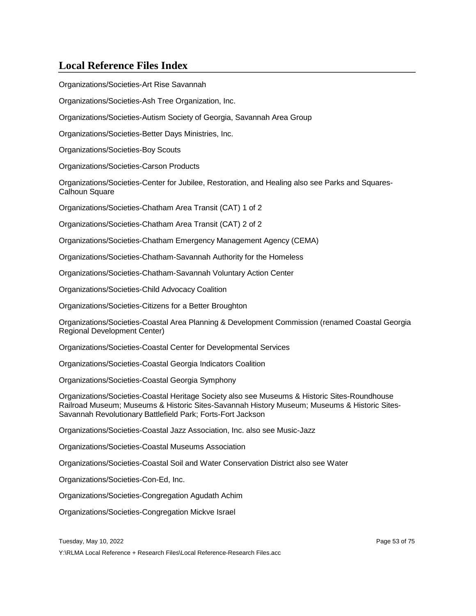Organizations/Societies-Art Rise Savannah

Organizations/Societies-Ash Tree Organization, Inc.

Organizations/Societies-Autism Society of Georgia, Savannah Area Group

Organizations/Societies-Better Days Ministries, Inc.

Organizations/Societies-Boy Scouts

Organizations/Societies-Carson Products

Organizations/Societies-Center for Jubilee, Restoration, and Healing also see Parks and Squares-**Calhoun Square** 

Organizations/Societies-Chatham Area Transit (CAT) 1 of 2

Organizations/Societies-Chatham Area Transit (CAT) 2 of 2

Organizations/Societies-Chatham Emergency Management Agency (CEMA)

Organizations/Societies-Chatham-Savannah Authority for the Homeless

Organizations/Societies-Chatham-Savannah Voluntary Action Center

Organizations/Societies-Child Advocacy Coalition

Organizations/Societies-Citizens for a Better Broughton

Organizations/Societies-Coastal Area Planning & Development Commission (renamed Coastal Georgia Regional Development Center)

Organizations/Societies-Coastal Center for Developmental Services

Organizations/Societies-Coastal Georgia Indicators Coalition

Organizations/Societies-Coastal Georgia Symphony

Organizations/Societies-Coastal Heritage Society also see Museums & Historic Sites-Roundhouse Railroad Museum; Museums & Historic Sites-Savannah History Museum; Museums & Historic Sites-Savannah Revolutionary Battlefield Park; Forts-Fort Jackson

Organizations/Societies-Coastal Jazz Association, Inc. also see Music-Jazz

Organizations/Societies-Coastal Museums Association

Organizations/Societies-Coastal Soil and Water Conservation District also see Water

Organizations/Societies-Con-Ed, Inc.

Organizations/Societies-Congregation Agudath Achim

Organizations/Societies-Congregation Mickve Israel

Tuesday, May 10, 2022 Page 53 of 75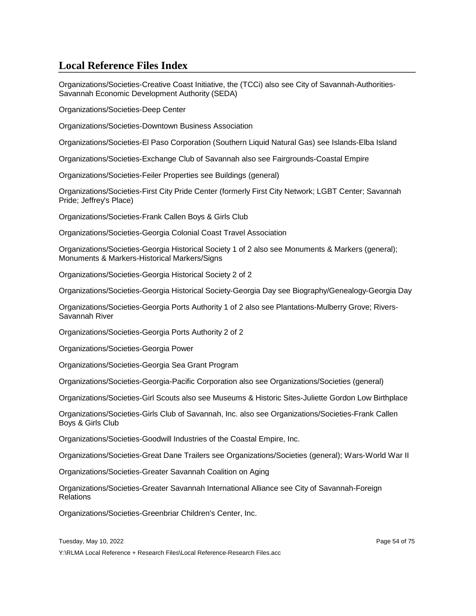Organizations/Societies-Creative Coast Initiative, the (TCCi) also see City of Savannah-Authorities-Savannah Economic Development Authority (SEDA)

Organizations/Societies-Deep Center

Organizations/Societies-Downtown Business Association

Organizations/Societies-El Paso Corporation (Southern Liquid Natural Gas) see Islands-Elba Island

Organizations/Societies-Exchange Club of Savannah also see Fairgrounds-Coastal Empire

Organizations/Societies-Feiler Properties see Buildings (general)

Organizations/Societies-First City Pride Center (formerly First City Network; LGBT Center; Savannah Pride; Jeffrey's Place)

Organizations/Societies-Frank Callen Boys & Girls Club

Organizations/Societies-Georgia Colonial Coast Travel Association

Organizations/Societies-Georgia Historical Society 1 of 2 also see Monuments & Markers (general); Monuments & Markers-Historical Markers/Signs

Organizations/Societies-Georgia Historical Society 2 of 2

Organizations/Societies-Georgia Historical Society-Georgia Day see Biography/Genealogy-Georgia Day

Organizations/Societies-Georgia Ports Authority 1 of 2 also see Plantations-Mulberry Grove; Rivers-Savannah River

Organizations/Societies-Georgia Ports Authority 2 of 2

Organizations/Societies-Georgia Power

Organizations/Societies-Georgia Sea Grant Program

Organizations/Societies-Georgia-Pacific Corporation also see Organizations/Societies (general)

Organizations/Societies-Girl Scouts also see Museums & Historic Sites-Juliette Gordon Low Birthplace

Organizations/Societies-Girls Club of Savannah, Inc. also see Organizations/Societies-Frank Callen Boys & Girls Club

Organizations/Societies-Goodwill Industries of the Coastal Empire, Inc.

Organizations/Societies-Great Dane Trailers see Organizations/Societies (general); Wars-World War II

Organizations/Societies-Greater Savannah Coalition on Aging

Organizations/Societies-Greater Savannah International Alliance see City of Savannah-Foreign **Relations** 

Organizations/Societies-Greenbriar Children's Center, Inc.

Tuesday, May 10, 2022 Page 54 of 75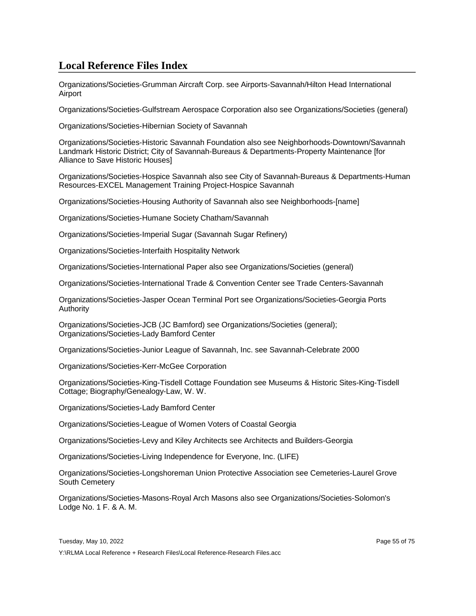Organizations/Societies-Grumman Aircraft Corp. see Airports-Savannah/Hilton Head International Airport

Organizations/Societies-Gulfstream Aerospace Corporation also see Organizations/Societies (general)

Organizations/Societies-Hibernian Society of Savannah

Organizations/Societies-Historic Savannah Foundation also see Neighborhoods-Downtown/Savannah Landmark Historic District; City of Savannah-Bureaus & Departments-Property Maintenance [for Alliance to Save Historic Houses]

Organizations/Societies-Hospice Savannah also see City of Savannah-Bureaus & Departments-Human Resources-EXCEL Management Training Project-Hospice Savannah

Organizations/Societies-Housing Authority of Savannah also see Neighborhoods-[name]

Organizations/Societies-Humane Society Chatham/Savannah

Organizations/Societies-Imperial Sugar (Savannah Sugar Refinery)

Organizations/Societies-Interfaith Hospitality Network

Organizations/Societies-International Paper also see Organizations/Societies (general)

Organizations/Societies-International Trade & Convention Center see Trade Centers-Savannah

Organizations/Societies-Jasper Ocean Terminal Port see Organizations/Societies-Georgia Ports Authority

Organizations/Societies-JCB (JC Bamford) see Organizations/Societies (general); Organizations/Societies-Lady Bamford Center

Organizations/Societies-Junior League of Savannah, Inc. see Savannah-Celebrate 2000

Organizations/Societies-Kerr-McGee Corporation

Organizations/Societies-King-Tisdell Cottage Foundation see Museums & Historic Sites-King-Tisdell Cottage; Biography/Genealogy-Law, W. W.

Organizations/Societies-Lady Bamford Center

Organizations/Societies-League of Women Voters of Coastal Georgia

Organizations/Societies-Levy and Kiley Architects see Architects and Builders-Georgia

Organizations/Societies-Living Independence for Everyone, Inc. (LIFE)

Organizations/Societies-Longshoreman Union Protective Association see Cemeteries-Laurel Grove South Cemetery

Organizations/Societies-Masons-Royal Arch Masons also see Organizations/Societies-Solomon's Lodge No. 1 F. & A. M.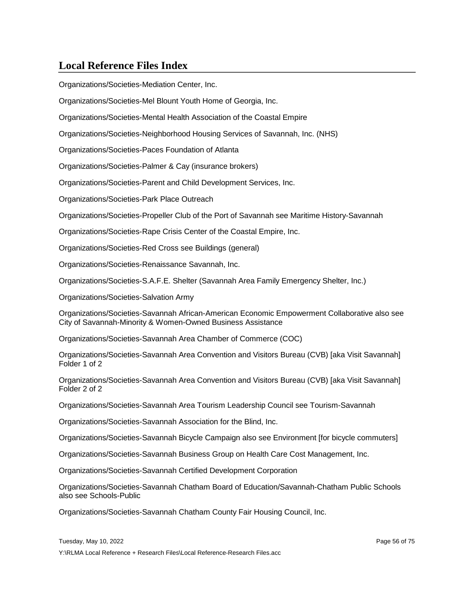Organizations/Societies-Mediation Center, Inc.

Organizations/Societies-Mel Blount Youth Home of Georgia, Inc.

Organizations/Societies-Mental Health Association of the Coastal Empire

Organizations/Societies-Neighborhood Housing Services of Savannah, Inc. (NHS)

Organizations/Societies-Paces Foundation of Atlanta

Organizations/Societies-Palmer & Cay (insurance brokers)

Organizations/Societies-Parent and Child Development Services, Inc.

Organizations/Societies-Park Place Outreach

Organizations/Societies-Propeller Club of the Port of Savannah see Maritime History-Savannah

Organizations/Societies-Rape Crisis Center of the Coastal Empire, Inc.

Organizations/Societies-Red Cross see Buildings (general)

Organizations/Societies-Renaissance Savannah, Inc.

Organizations/Societies-S.A.F.E. Shelter (Savannah Area Family Emergency Shelter, Inc.)

Organizations/Societies-Salvation Army

Organizations/Societies-Savannah African-American Economic Empowerment Collaborative also see City of Savannah-Minority & Women-Owned Business Assistance

Organizations/Societies-Savannah Area Chamber of Commerce (COC)

Organizations/Societies-Savannah Area Convention and Visitors Bureau (CVB) [aka Visit Savannah] Folder 1 of 2

Organizations/Societies-Savannah Area Convention and Visitors Bureau (CVB) [aka Visit Savannah] Folder 2 of 2

Organizations/Societies-Savannah Area Tourism Leadership Council see Tourism-Savannah

Organizations/Societies-Savannah Association for the Blind, Inc.

Organizations/Societies-Savannah Bicycle Campaign also see Environment [for bicycle commuters]

Organizations/Societies-Savannah Business Group on Health Care Cost Management, Inc.

Organizations/Societies-Savannah Certified Development Corporation

Organizations/Societies-Savannah Chatham Board of Education/Savannah-Chatham Public Schools also see Schools-Public

Organizations/Societies-Savannah Chatham County Fair Housing Council, Inc.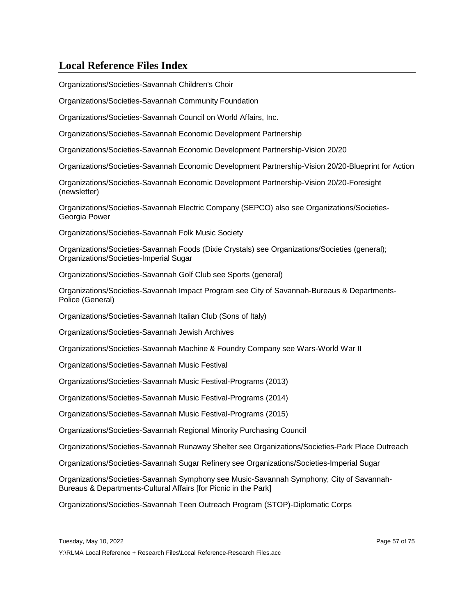Organizations/Societies-Savannah Children's Choir

Organizations/Societies-Savannah Community Foundation

Organizations/Societies-Savannah Council on World Affairs, Inc.

Organizations/Societies-Savannah Economic Development Partnership

Organizations/Societies-Savannah Economic Development Partnership-Vision 20/20

Organizations/Societies-Savannah Economic Development Partnership-Vision 20/20-Blueprint for Action

Organizations/Societies-Savannah Economic Development Partnership-Vision 20/20-Foresight (newsletter)

Organizations/Societies-Savannah Electric Company (SEPCO) also see Organizations/Societies-Georgia Power

Organizations/Societies-Savannah Folk Music Society

Organizations/Societies-Savannah Foods (Dixie Crystals) see Organizations/Societies (general); Organizations/Societies-Imperial Sugar

Organizations/Societies-Savannah Golf Club see Sports (general)

Organizations/Societies-Savannah Impact Program see City of Savannah-Bureaus & Departments-Police (General)

Organizations/Societies-Savannah Italian Club (Sons of Italy)

Organizations/Societies-Savannah Jewish Archives

Organizations/Societies-Savannah Machine & Foundry Company see Wars-World War II

Organizations/Societies-Savannah Music Festival

Organizations/Societies-Savannah Music Festival-Programs (2013)

Organizations/Societies-Savannah Music Festival-Programs (2014)

Organizations/Societies-Savannah Music Festival-Programs (2015)

Organizations/Societies-Savannah Regional Minority Purchasing Council

Organizations/Societies-Savannah Runaway Shelter see Organizations/Societies-Park Place Outreach

Organizations/Societies-Savannah Sugar Refinery see Organizations/Societies-Imperial Sugar

Organizations/Societies-Savannah Symphony see Music-Savannah Symphony; City of Savannah-Bureaus & Departments-Cultural Affairs [for Picnic in the Park]

Organizations/Societies-Savannah Teen Outreach Program (STOP)-Diplomatic Corps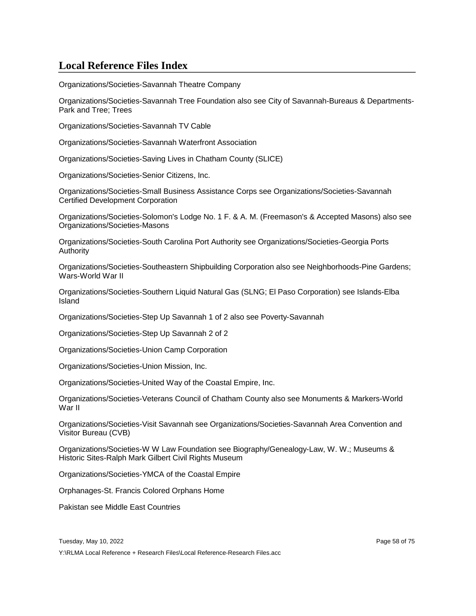Organizations/Societies-Savannah Theatre Company

Organizations/Societies-Savannah Tree Foundation also see City of Savannah-Bureaus & Departments-Park and Tree; Trees

Organizations/Societies-Savannah TV Cable

Organizations/Societies-Savannah Waterfront Association

Organizations/Societies-Saving Lives in Chatham County (SLICE)

Organizations/Societies-Senior Citizens, Inc.

Organizations/Societies-Small Business Assistance Corps see Organizations/Societies-Savannah Certified Development Corporation

Organizations/Societies-Solomon's Lodge No. 1 F. & A. M. (Freemason's & Accepted Masons) also see Organizations/Societies-Masons

Organizations/Societies-South Carolina Port Authority see Organizations/Societies-Georgia Ports Authority

Organizations/Societies-Southeastern Shipbuilding Corporation also see Neighborhoods-Pine Gardens; Wars-World War II

Organizations/Societies-Southern Liquid Natural Gas (SLNG; El Paso Corporation) see Islands-Elba Island

Organizations/Societies-Step Up Savannah 1 of 2 also see Poverty-Savannah

Organizations/Societies-Step Up Savannah 2 of 2

Organizations/Societies-Union Camp Corporation

Organizations/Societies-Union Mission, Inc.

Organizations/Societies-United Way of the Coastal Empire, Inc.

Organizations/Societies-Veterans Council of Chatham County also see Monuments & Markers-World War II

Organizations/Societies-Visit Savannah see Organizations/Societies-Savannah Area Convention and Visitor Bureau (CVB)

Organizations/Societies-W W Law Foundation see Biography/Genealogy-Law, W. W.; Museums & Historic Sites-Ralph Mark Gilbert Civil Rights Museum

Organizations/Societies-YMCA of the Coastal Empire

Orphanages-St. Francis Colored Orphans Home

Pakistan see Middle East Countries

Tuesday, May 10, 2022 **Page 58 of 75** and 2022 **Page 58 of 75**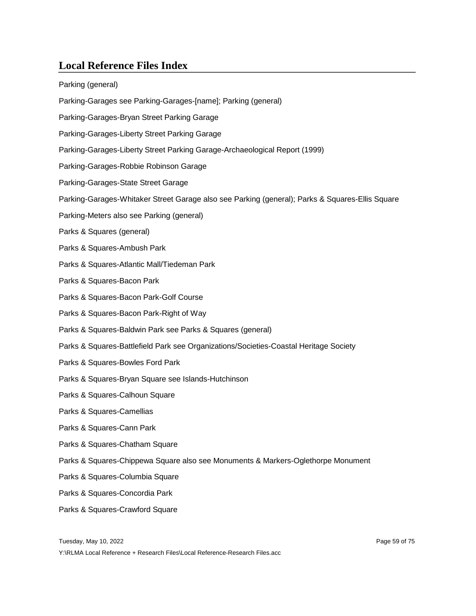| Parking (general)                                                                               |
|-------------------------------------------------------------------------------------------------|
| Parking-Garages see Parking-Garages-[name]; Parking (general)                                   |
| Parking-Garages-Bryan Street Parking Garage                                                     |
| Parking-Garages-Liberty Street Parking Garage                                                   |
| Parking-Garages-Liberty Street Parking Garage-Archaeological Report (1999)                      |
| Parking-Garages-Robbie Robinson Garage                                                          |
| Parking-Garages-State Street Garage                                                             |
| Parking-Garages-Whitaker Street Garage also see Parking (general); Parks & Squares-Ellis Square |
| Parking-Meters also see Parking (general)                                                       |
| Parks & Squares (general)                                                                       |
| Parks & Squares-Ambush Park                                                                     |
| Parks & Squares-Atlantic Mall/Tiedeman Park                                                     |
| Parks & Squares-Bacon Park                                                                      |
| Parks & Squares-Bacon Park-Golf Course                                                          |
| Parks & Squares-Bacon Park-Right of Way                                                         |
| Parks & Squares-Baldwin Park see Parks & Squares (general)                                      |
| Parks & Squares-Battlefield Park see Organizations/Societies-Coastal Heritage Society           |
| Parks & Squares-Bowles Ford Park                                                                |
| Parks & Squares-Bryan Square see Islands-Hutchinson                                             |
| Parks & Squares-Calhoun Square                                                                  |
| Parks & Squares-Camellias                                                                       |
| Parks & Squares-Cann Park                                                                       |
| Parks & Squares-Chatham Square                                                                  |
| Parks & Squares-Chippewa Square also see Monuments & Markers-Oglethorpe Monument                |
| Parks & Squares-Columbia Square                                                                 |
| Parks & Squares-Concordia Park                                                                  |
| Parks & Squares-Crawford Square                                                                 |
|                                                                                                 |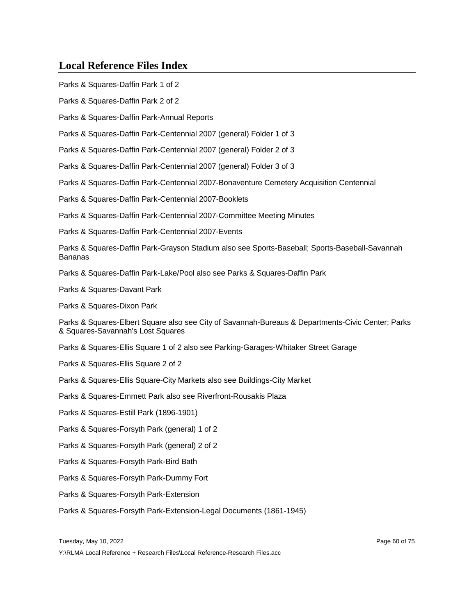Parks & Squares-Daffin Park 1 of 2

Parks & Squares-Daffin Park 2 of 2

Parks & Squares-Daffin Park-Annual Reports

Parks & Squares-Daffin Park-Centennial 2007 (general) Folder 1 of 3

Parks & Squares-Daffin Park-Centennial 2007 (general) Folder 2 of 3

Parks & Squares-Daffin Park-Centennial 2007 (general) Folder 3 of 3

Parks & Squares-Daffin Park-Centennial 2007-Bonaventure Cemetery Acquisition Centennial

Parks & Squares-Daffin Park-Centennial 2007-Booklets

Parks & Squares-Daffin Park-Centennial 2007-Committee Meeting Minutes

Parks & Squares-Daffin Park-Centennial 2007-Events

Parks & Squares-Daffin Park-Grayson Stadium also see Sports-Baseball; Sports-Baseball-Savannah Bananas

Parks & Squares-Daffin Park-Lake/Pool also see Parks & Squares-Daffin Park

Parks & Squares-Davant Park

Parks & Squares-Dixon Park

Parks & Squares-Elbert Square also see City of Savannah-Bureaus & Departments-Civic Center; Parks & Squares-Savannah's Lost Squares

Parks & Squares-Ellis Square 1 of 2 also see Parking-Garages-Whitaker Street Garage

Parks & Squares-Ellis Square 2 of 2

Parks & Squares-Ellis Square-City Markets also see Buildings-City Market

Parks & Squares-Emmett Park also see Riverfront-Rousakis Plaza

Parks & Squares-Estill Park (1896-1901)

Parks & Squares-Forsyth Park (general) 1 of 2

Parks & Squares-Forsyth Park (general) 2 of 2

Parks & Squares-Forsyth Park-Bird Bath

Parks & Squares-Forsyth Park-Dummy Fort

Parks & Squares-Forsyth Park-Extension

Parks & Squares-Forsyth Park-Extension-Legal Documents (1861-1945)

Tuesday, May 10, 2022 Page 60 of 75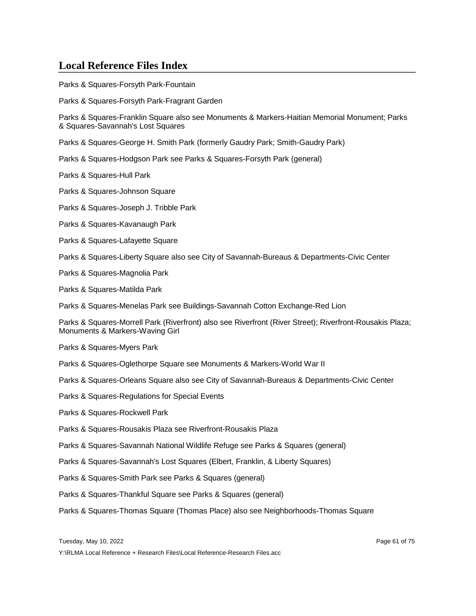Parks & Squares-Forsyth Park-Fountain

Parks & Squares-Forsyth Park-Fragrant Garden

Parks & Squares-Franklin Square also see Monuments & Markers-Haitian Memorial Monument; Parks & Squares-Savannah's Lost Squares

Parks & Squares-George H. Smith Park (formerly Gaudry Park; Smith-Gaudry Park)

Parks & Squares-Hodgson Park see Parks & Squares-Forsyth Park (general)

Parks & Squares-Hull Park

Parks & Squares-Johnson Square

Parks & Squares-Joseph J. Tribble Park

Parks & Squares-Kavanaugh Park

Parks & Squares-Lafayette Square

Parks & Squares-Liberty Square also see City of Savannah-Bureaus & Departments-Civic Center

Parks & Squares-Magnolia Park

Parks & Squares-Matilda Park

Parks & Squares-Menelas Park see Buildings-Savannah Cotton Exchange-Red Lion

Parks & Squares-Morrell Park (Riverfront) also see Riverfront (River Street); Riverfront-Rousakis Plaza; Monuments & Markers-Waving Girl

Parks & Squares-Myers Park

Parks & Squares-Oglethorpe Square see Monuments & Markers-World War II

Parks & Squares-Orleans Square also see City of Savannah-Bureaus & Departments-Civic Center

- Parks & Squares-Regulations for Special Events
- Parks & Squares-Rockwell Park
- Parks & Squares-Rousakis Plaza see Riverfront-Rousakis Plaza
- Parks & Squares-Savannah National Wildlife Refuge see Parks & Squares (general)
- Parks & Squares-Savannah's Lost Squares (Elbert, Franklin, & Liberty Squares)
- Parks & Squares-Smith Park see Parks & Squares (general)
- Parks & Squares-Thankful Square see Parks & Squares (general)

Parks & Squares-Thomas Square (Thomas Place) also see Neighborhoods-Thomas Square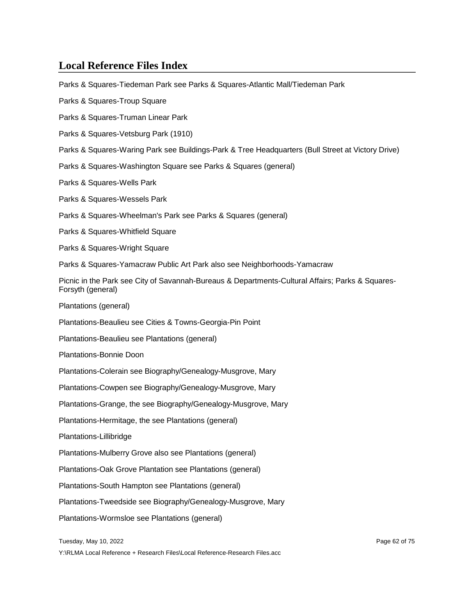Parks & Squares-Tiedeman Park see Parks & Squares-Atlantic Mall/Tiedeman Park

Parks & Squares-Troup Square

Parks & Squares-Truman Linear Park

Parks & Squares-Vetsburg Park (1910)

Parks & Squares-Waring Park see Buildings-Park & Tree Headquarters (Bull Street at Victory Drive)

Parks & Squares-Washington Square see Parks & Squares (general)

Parks & Squares-Wells Park

Parks & Squares-Wessels Park

Parks & Squares-Wheelman's Park see Parks & Squares (general)

Parks & Squares-Whitfield Square

Parks & Squares-Wright Square

Parks & Squares-Yamacraw Public Art Park also see Neighborhoods-Yamacraw

Picnic in the Park see City of Savannah-Bureaus & Departments-Cultural Affairs; Parks & Squares-Forsyth (general)

Plantations (general)

Plantations-Beaulieu see Cities & Towns-Georgia-Pin Point

Plantations-Beaulieu see Plantations (general)

Plantations-Bonnie Doon

Plantations-Colerain see Biography/Genealogy-Musgrove, Mary

Plantations-Cowpen see Biography/Genealogy-Musgrove, Mary

Plantations-Grange, the see Biography/Genealogy-Musgrove, Mary

Plantations-Hermitage, the see Plantations (general)

Plantations-Lillibridge

Plantations-Mulberry Grove also see Plantations (general)

Plantations-Oak Grove Plantation see Plantations (general)

Plantations-South Hampton see Plantations (general)

Plantations-Tweedside see Biography/Genealogy-Musgrove, Mary

Plantations-Wormsloe see Plantations (general)

Tuesday, May 10, 2022 Page 62 of 75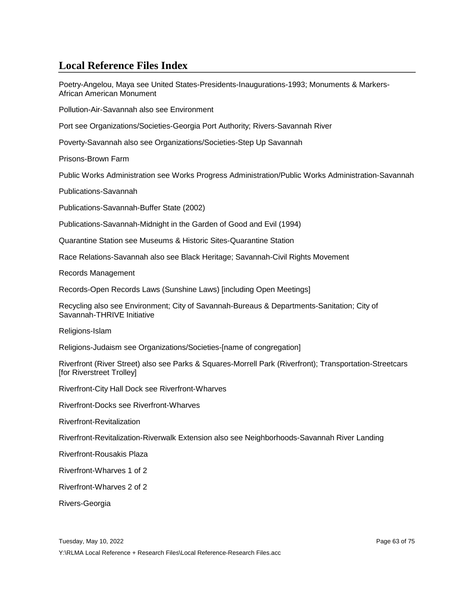Poetry-Angelou, Maya see United States-Presidents-Inaugurations-1993; Monuments & Markers-African American Monument

Pollution-Air-Savannah also see Environment

Port see Organizations/Societies-Georgia Port Authority; Rivers-Savannah River

Poverty-Savannah also see Organizations/Societies-Step Up Savannah

Prisons-Brown Farm

Public Works Administration see Works Progress Administration/Public Works Administration-Savannah

Publications-Savannah

Publications-Savannah-Buffer State (2002)

Publications-Savannah-Midnight in the Garden of Good and Evil (1994)

Quarantine Station see Museums & Historic Sites-Quarantine Station

Race Relations-Savannah also see Black Heritage; Savannah-Civil Rights Movement

Records Management

Records-Open Records Laws (Sunshine Laws) [including Open Meetings]

Recycling also see Environment; City of Savannah-Bureaus & Departments-Sanitation; City of Savannah-THRIVE Initiative

Religions-Islam

Religions-Judaism see Organizations/Societies-[name of congregation]

Riverfront (River Street) also see Parks & Squares-Morrell Park (Riverfront); Transportation-Streetcars [for Riverstreet Trolley]

Riverfront-City Hall Dock see Riverfront-Wharves

Riverfront-Docks see Riverfront-Wharves

Riverfront-Revitalization

Riverfront-Revitalization-Riverwalk Extension also see Neighborhoods-Savannah River Landing

Riverfront-Rousakis Plaza

Riverfront-Wharves 1 of 2

Riverfront-Wharves 2 of 2

Rivers-Georgia

Tuesday, May 10, 2022 Page 63 of 75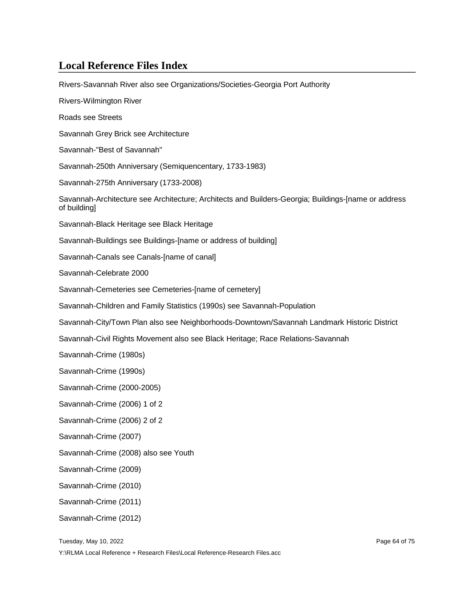| Rivers-Savannah River also see Organizations/Societies-Georgia Port Authority                                       |
|---------------------------------------------------------------------------------------------------------------------|
| Rivers-Wilmington River                                                                                             |
| Roads see Streets                                                                                                   |
| Savannah Grey Brick see Architecture                                                                                |
| Savannah-"Best of Savannah"                                                                                         |
| Savannah-250th Anniversary (Semiquencentary, 1733-1983)                                                             |
| Savannah-275th Anniversary (1733-2008)                                                                              |
| Savannah-Architecture see Architecture; Architects and Builders-Georgia; Buildings-[name or address<br>of building] |
| Savannah-Black Heritage see Black Heritage                                                                          |
| Savannah-Buildings see Buildings-[name or address of building]                                                      |
| Savannah-Canals see Canals-[name of canal]                                                                          |
| Savannah-Celebrate 2000                                                                                             |
| Savannah-Cemeteries see Cemeteries-[name of cemetery]                                                               |
| Savannah-Children and Family Statistics (1990s) see Savannah-Population                                             |
| Savannah-City/Town Plan also see Neighborhoods-Downtown/Savannah Landmark Historic District                         |
| Savannah-Civil Rights Movement also see Black Heritage; Race Relations-Savannah                                     |
| Savannah-Crime (1980s)                                                                                              |
| Savannah-Crime (1990s)                                                                                              |
| Savannah-Crime (2000-2005)                                                                                          |
| Savannah-Crime (2006) 1 of 2                                                                                        |
| Savannah-Crime (2006) 2 of 2                                                                                        |
| Savannah-Crime (2007)                                                                                               |
| Savannah-Crime (2008) also see Youth                                                                                |
| Savannah-Crime (2009)                                                                                               |
| Savannah-Crime (2010)                                                                                               |
| Savannah-Crime (2011)                                                                                               |
| Savannah-Crime (2012)                                                                                               |
|                                                                                                                     |

Tuesday, May 10, 2022 **Page 64 of 75**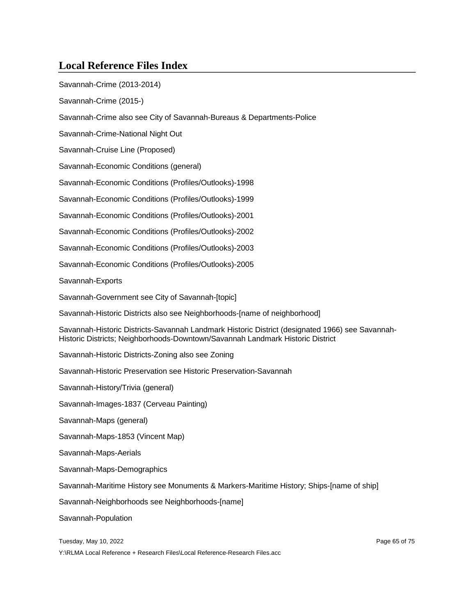| Savannah-Crime (2013-2014)                                                                                                                                                        |
|-----------------------------------------------------------------------------------------------------------------------------------------------------------------------------------|
| Savannah-Crime (2015-)                                                                                                                                                            |
| Savannah-Crime also see City of Savannah-Bureaus & Departments-Police                                                                                                             |
| Savannah-Crime-National Night Out                                                                                                                                                 |
| Savannah-Cruise Line (Proposed)                                                                                                                                                   |
| Savannah-Economic Conditions (general)                                                                                                                                            |
| Savannah-Economic Conditions (Profiles/Outlooks)-1998                                                                                                                             |
| Savannah-Economic Conditions (Profiles/Outlooks)-1999                                                                                                                             |
| Savannah-Economic Conditions (Profiles/Outlooks)-2001                                                                                                                             |
| Savannah-Economic Conditions (Profiles/Outlooks)-2002                                                                                                                             |
| Savannah-Economic Conditions (Profiles/Outlooks)-2003                                                                                                                             |
| Savannah-Economic Conditions (Profiles/Outlooks)-2005                                                                                                                             |
| Savannah-Exports                                                                                                                                                                  |
| Savannah-Government see City of Savannah-[topic]                                                                                                                                  |
| Savannah-Historic Districts also see Neighborhoods-[name of neighborhood]                                                                                                         |
| Savannah-Historic Districts-Savannah Landmark Historic District (designated 1966) see Savannah-<br>Historic Districts; Neighborhoods-Downtown/Savannah Landmark Historic District |
| Savannah-Historic Districts-Zoning also see Zoning                                                                                                                                |
| Savannah-Historic Preservation see Historic Preservation-Savannah                                                                                                                 |
| Savannah-History/Trivia (general)                                                                                                                                                 |
| Savannah-Images-1837 (Cerveau Painting)                                                                                                                                           |
| Savannah-Maps (general)                                                                                                                                                           |
| Savannah-Maps-1853 (Vincent Map)                                                                                                                                                  |
| Savannah-Maps-Aerials                                                                                                                                                             |
| Savannah-Maps-Demographics                                                                                                                                                        |
| Savannah-Maritime History see Monuments & Markers-Maritime History; Ships-[name of ship]                                                                                          |
| Savannah-Neighborhoods see Neighborhoods-[name]                                                                                                                                   |
| Savannah-Population                                                                                                                                                               |
| Tuesday, May 10, 2022<br>Page 65 of 75<br>Y:\RLMA Local Reference + Research Files\Local Reference-Research Files.acc                                                             |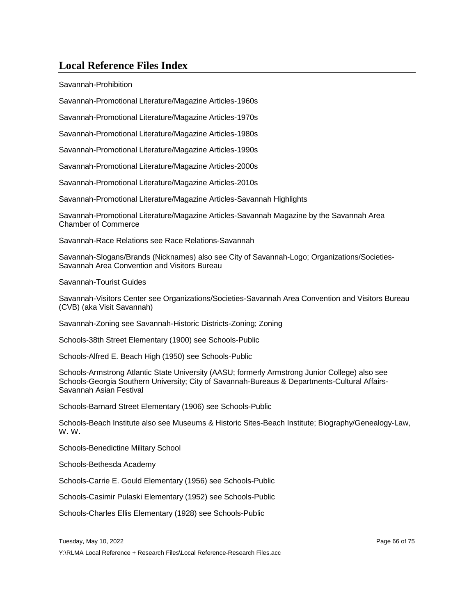Savannah-Prohibition

Savannah-Promotional Literature/Magazine Articles-1960s

Savannah-Promotional Literature/Magazine Articles-1970s

Savannah-Promotional Literature/Magazine Articles-1980s

Savannah-Promotional Literature/Magazine Articles-1990s

Savannah-Promotional Literature/Magazine Articles-2000s

Savannah-Promotional Literature/Magazine Articles-2010s

Savannah-Promotional Literature/Magazine Articles-Savannah Highlights

Savannah-Promotional Literature/Magazine Articles-Savannah Magazine by the Savannah Area Chamber of Commerce

Savannah-Race Relations see Race Relations-Savannah

Savannah-Slogans/Brands (Nicknames) also see City of Savannah-Logo; Organizations/Societies-Savannah Area Convention and Visitors Bureau

Savannah-Tourist Guides

Savannah-Visitors Center see Organizations/Societies-Savannah Area Convention and Visitors Bureau (CVB) (aka Visit Savannah)

Savannah-Zoning see Savannah-Historic Districts-Zoning; Zoning

Schools-38th Street Elementary (1900) see Schools-Public

Schools-Alfred E. Beach High (1950) see Schools-Public

Schools-Armstrong Atlantic State University (AASU; formerly Armstrong Junior College) also see Schools-Georgia Southern University; City of Savannah-Bureaus & Departments-Cultural Affairs-Savannah Asian Festival

Schools-Barnard Street Elementary (1906) see Schools-Public

Schools-Beach Institute also see Museums & Historic Sites-Beach Institute; Biography/Genealogy-Law, W. W.

Schools-Benedictine Military School

Schools-Bethesda Academy

Schools-Carrie E. Gould Elementary (1956) see Schools-Public

Schools-Casimir Pulaski Elementary (1952) see Schools-Public

Schools-Charles Ellis Elementary (1928) see Schools-Public

Tuesday, May 10, 2022 Page 66 of 75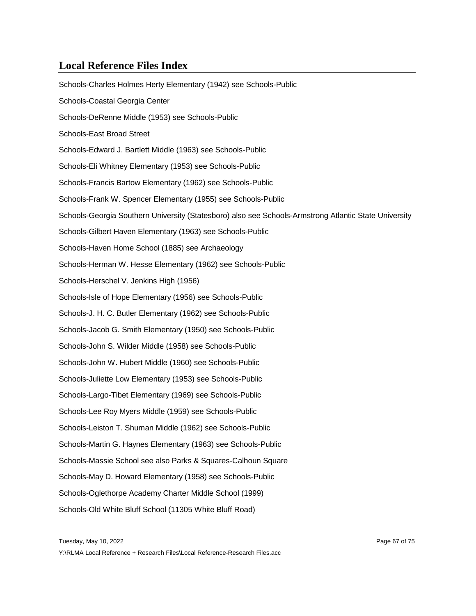Schools-Charles Holmes Herty Elementary (1942) see Schools-Public Schools-Coastal Georgia Center Schools-DeRenne Middle (1953) see Schools-Public Schools-East Broad Street Schools-Edward J. Bartlett Middle (1963) see Schools-Public Schools-Eli Whitney Elementary (1953) see Schools-Public Schools-Francis Bartow Elementary (1962) see Schools-Public Schools-Frank W. Spencer Elementary (1955) see Schools-Public Schools-Georgia Southern University (Statesboro) also see Schools-Armstrong Atlantic State University Schools-Gilbert Haven Elementary (1963) see Schools-Public Schools-Haven Home School (1885) see Archaeology Schools-Herman W. Hesse Elementary (1962) see Schools-Public Schools-Herschel V. Jenkins High (1956) Schools-Isle of Hope Elementary (1956) see Schools-Public Schools-J. H. C. Butler Elementary (1962) see Schools-Public Schools-Jacob G. Smith Elementary (1950) see Schools-Public Schools-John S. Wilder Middle (1958) see Schools-Public Schools-John W. Hubert Middle (1960) see Schools-Public Schools-Juliette Low Elementary (1953) see Schools-Public Schools-Largo-Tibet Elementary (1969) see Schools-Public Schools-Lee Roy Myers Middle (1959) see Schools-Public Schools-Leiston T. Shuman Middle (1962) see Schools-Public Schools-Martin G. Haynes Elementary (1963) see Schools-Public Schools-Massie School see also Parks & Squares-Calhoun Square Schools-May D. Howard Elementary (1958) see Schools-Public Schools-Oglethorpe Academy Charter Middle School (1999) Schools-Old White Bluff School (11305 White Bluff Road)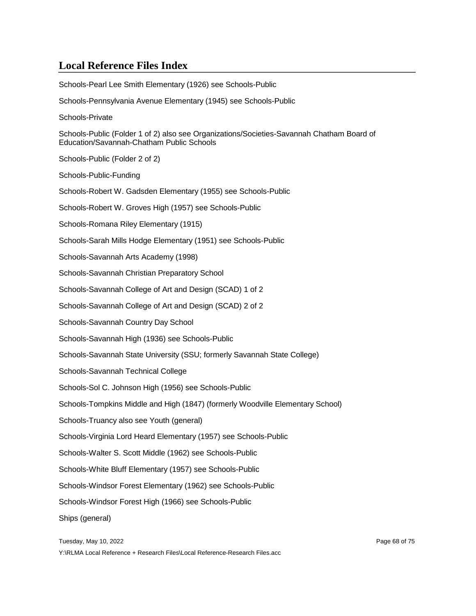Schools-Pearl Lee Smith Elementary (1926) see Schools-Public Schools-Pennsylvania Avenue Elementary (1945) see Schools-Public Schools-Private Schools-Public (Folder 1 of 2) also see Organizations/Societies-Savannah Chatham Board of Education/Savannah-Chatham Public Schools Schools-Public (Folder 2 of 2) Schools-Public-Funding Schools-Robert W. Gadsden Elementary (1955) see Schools-Public Schools-Robert W. Groves High (1957) see Schools-Public Schools-Romana Riley Elementary (1915) Schools-Sarah Mills Hodge Elementary (1951) see Schools-Public Schools-Savannah Arts Academy (1998) Schools-Savannah Christian Preparatory School Schools-Savannah College of Art and Design (SCAD) 1 of 2 Schools-Savannah College of Art and Design (SCAD) 2 of 2 Schools-Savannah Country Day School Schools-Savannah High (1936) see Schools-Public Schools-Savannah State University (SSU; formerly Savannah State College) Schools-Savannah Technical College Schools-Sol C. Johnson High (1956) see Schools-Public Schools-Tompkins Middle and High (1847) (formerly Woodville Elementary School) Schools-Truancy also see Youth (general) Schools-Virginia Lord Heard Elementary (1957) see Schools-Public Schools-Walter S. Scott Middle (1962) see Schools-Public Schools-White Bluff Elementary (1957) see Schools-Public Schools-Windsor Forest Elementary (1962) see Schools-Public Schools-Windsor Forest High (1966) see Schools-Public Ships (general)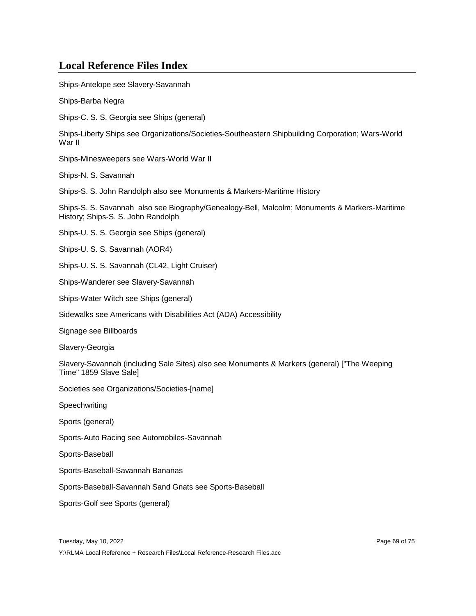Ships-Antelope see Slavery-Savannah

Ships-Barba Negra

Ships-C. S. S. Georgia see Ships (general)

Ships-Liberty Ships see Organizations/Societies-Southeastern Shipbuilding Corporation; Wars-World War II

Ships-Minesweepers see Wars-World War II

Ships-N. S. Savannah

Ships-S. S. John Randolph also see Monuments & Markers-Maritime History

Ships-S. S. Savannah also see Biography/Genealogy-Bell, Malcolm; Monuments & Markers-Maritime History; Ships-S. S. John Randolph

Ships-U. S. S. Georgia see Ships (general)

Ships-U. S. S. Savannah (AOR4)

Ships-U. S. S. Savannah (CL42, Light Cruiser)

Ships-Wanderer see Slavery-Savannah

Ships-Water Witch see Ships (general)

Sidewalks see Americans with Disabilities Act (ADA) Accessibility

Signage see Billboards

Slavery-Georgia

Slavery-Savannah (including Sale Sites) also see Monuments & Markers (general) ["The Weeping Time" 1859 Slave Sale]

Societies see Organizations/Societies-[name]

Speechwriting

Sports (general)

Sports-Auto Racing see Automobiles-Savannah

Sports-Baseball

Sports-Baseball-Savannah Bananas

Sports-Baseball-Savannah Sand Gnats see Sports-Baseball

Sports-Golf see Sports (general)

Tuesday, May 10, 2022 Page 69 of 75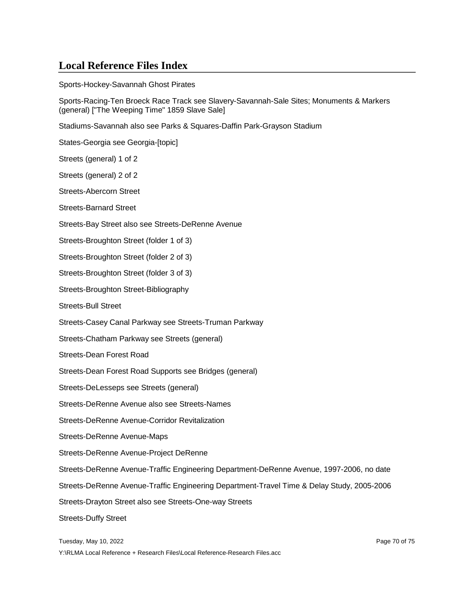Sports-Hockey-Savannah Ghost Pirates

Sports-Racing-Ten Broeck Race Track see Slavery-Savannah-Sale Sites; Monuments & Markers (general) ["The Weeping Time" 1859 Slave Sale]

Stadiums-Savannah also see Parks & Squares-Daffin Park-Grayson Stadium

States-Georgia see Georgia-[topic]

Streets (general) 1 of 2

Streets (general) 2 of 2

Streets-Abercorn Street

Streets-Barnard Street

Streets-Bay Street also see Streets-DeRenne Avenue

Streets-Broughton Street (folder 1 of 3)

Streets-Broughton Street (folder 2 of 3)

Streets-Broughton Street (folder 3 of 3)

Streets-Broughton Street-Bibliography

Streets-Bull Street

Streets-Casey Canal Parkway see Streets-Truman Parkway

Streets-Chatham Parkway see Streets (general)

Streets-Dean Forest Road

Streets-Dean Forest Road Supports see Bridges (general)

Streets-DeLesseps see Streets (general)

Streets-DeRenne Avenue also see Streets-Names

Streets-DeRenne Avenue-Corridor Revitalization

Streets-DeRenne Avenue-Maps

Streets-DeRenne Avenue-Project DeRenne

Streets-DeRenne Avenue-Traffic Engineering Department-DeRenne Avenue, 1997-2006, no date

Streets-DeRenne Avenue-Traffic Engineering Department-Travel Time & Delay Study, 2005-2006

Streets-Drayton Street also see Streets-One-way Streets

Streets-Duffy Street

Tuesday, May 10, 2022 Page 70 of 75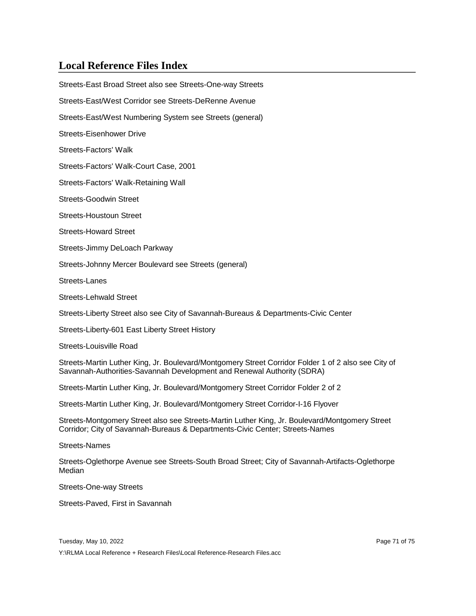Streets-East Broad Street also see Streets-One-way Streets Streets-East/West Corridor see Streets-DeRenne Avenue Streets-East/West Numbering System see Streets (general) Streets-Eisenhower Drive Streets-Factors' Walk Streets-Factors' Walk-Court Case, 2001 Streets-Factors' Walk-Retaining Wall Streets-Goodwin Street Streets-Houstoun Street Streets-Howard Street Streets-Jimmy DeLoach Parkway Streets-Johnny Mercer Boulevard see Streets (general) Streets-Lanes Streets-Lehwald Street Streets-Liberty Street also see City of Savannah-Bureaus & Departments-Civic Center Streets-Liberty-601 East Liberty Street History Streets-Louisville Road Streets-Martin Luther King, Jr. Boulevard/Montgomery Street Corridor Folder 1 of 2 also see City of Savannah-Authorities-Savannah Development and Renewal Authority (SDRA)

Streets-Martin Luther King, Jr. Boulevard/Montgomery Street Corridor Folder 2 of 2

Streets-Martin Luther King, Jr. Boulevard/Montgomery Street Corridor-I-16 Flyover

Streets-Montgomery Street also see Streets-Martin Luther King, Jr. Boulevard/Montgomery Street Corridor; City of Savannah-Bureaus & Departments-Civic Center; Streets-Names

Streets-Names

Streets-Oglethorpe Avenue see Streets-South Broad Street; City of Savannah-Artifacts-Oglethorpe Median

Streets-One-way Streets

Streets-Paved, First in Savannah

Tuesday, May 10, 2022 Page 71 of 75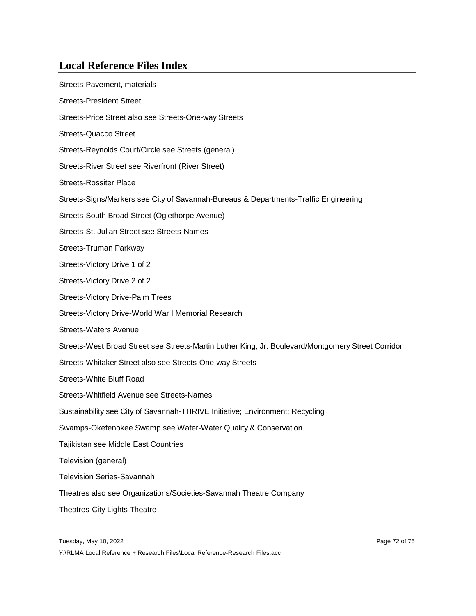| Streets-Pavement, materials                                                                        |
|----------------------------------------------------------------------------------------------------|
| <b>Streets-President Street</b>                                                                    |
| Streets-Price Street also see Streets-One-way Streets                                              |
| <b>Streets-Quacco Street</b>                                                                       |
| Streets-Reynolds Court/Circle see Streets (general)                                                |
| Streets-River Street see Riverfront (River Street)                                                 |
| <b>Streets-Rossiter Place</b>                                                                      |
| Streets-Signs/Markers see City of Savannah-Bureaus & Departments-Traffic Engineering               |
| Streets-South Broad Street (Oglethorpe Avenue)                                                     |
| Streets-St. Julian Street see Streets-Names                                                        |
| Streets-Truman Parkway                                                                             |
| Streets-Victory Drive 1 of 2                                                                       |
| Streets-Victory Drive 2 of 2                                                                       |
| <b>Streets-Victory Drive-Palm Trees</b>                                                            |
| Streets-Victory Drive-World War I Memorial Research                                                |
| <b>Streets-Waters Avenue</b>                                                                       |
| Streets-West Broad Street see Streets-Martin Luther King, Jr. Boulevard/Montgomery Street Corridor |
| Streets-Whitaker Street also see Streets-One-way Streets                                           |
| <b>Streets-White Bluff Road</b>                                                                    |
| Streets-Whitfield Avenue see Streets-Names                                                         |
| Sustainability see City of Savannah-THRIVE Initiative; Environment; Recycling                      |
| Swamps-Okefenokee Swamp see Water-Water Quality & Conservation                                     |
| Tajikistan see Middle East Countries                                                               |
| Television (general)                                                                               |
| <b>Television Series-Savannah</b>                                                                  |
| Theatres also see Organizations/Societies-Savannah Theatre Company                                 |
| <b>Theatres-City Lights Theatre</b>                                                                |

Tuesday, May 10, 2022 **Page 72 of 75**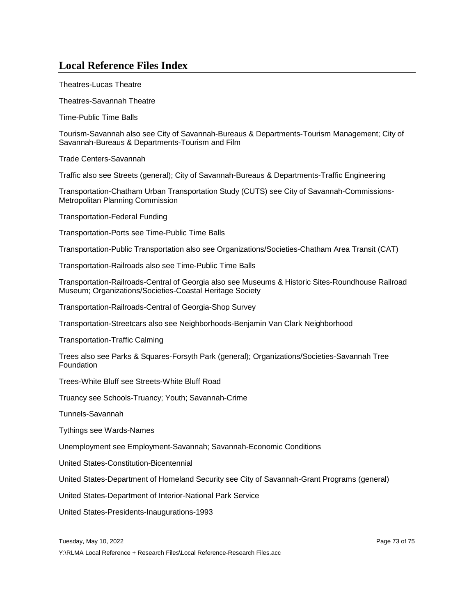## **Local Reference Files Index**

Theatres-Lucas Theatre

Theatres-Savannah Theatre

Time-Public Time Balls

Tourism-Savannah also see City of Savannah-Bureaus & Departments-Tourism Management; City of Savannah-Bureaus & Departments-Tourism and Film

Trade Centers-Savannah

Traffic also see Streets (general); City of Savannah-Bureaus & Departments-Traffic Engineering

Transportation-Chatham Urban Transportation Study (CUTS) see City of Savannah-Commissions-Metropolitan Planning Commission

Transportation-Federal Funding

Transportation-Ports see Time-Public Time Balls

Transportation-Public Transportation also see Organizations/Societies-Chatham Area Transit (CAT)

Transportation-Railroads also see Time-Public Time Balls

Transportation-Railroads-Central of Georgia also see Museums & Historic Sites-Roundhouse Railroad Museum; Organizations/Societies-Coastal Heritage Society

Transportation-Railroads-Central of Georgia-Shop Survey

Transportation-Streetcars also see Neighborhoods-Benjamin Van Clark Neighborhood

Transportation-Traffic Calming

Trees also see Parks & Squares-Forsyth Park (general); Organizations/Societies-Savannah Tree **Foundation** 

Trees-White Bluff see Streets-White Bluff Road

Truancy see Schools-Truancy; Youth; Savannah-Crime

Tunnels-Savannah

Tythings see Wards-Names

Unemployment see Employment-Savannah; Savannah-Economic Conditions

United States-Constitution-Bicentennial

United States-Department of Homeland Security see City of Savannah-Grant Programs (general)

United States-Department of Interior-National Park Service

United States-Presidents-Inaugurations-1993

Tuesday, May 10, 2022 Page 73 of 75

Y:\RLMA Local Reference + Research Files\Local Reference-Research Files.acc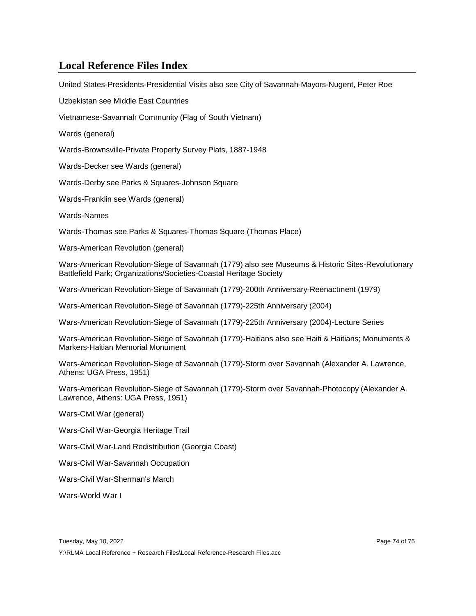## **Local Reference Files Index**

United States-Presidents-Presidential Visits also see City of Savannah-Mayors-Nugent, Peter Roe

Uzbekistan see Middle East Countries

Vietnamese-Savannah Community (Flag of South Vietnam)

Wards (general)

Wards-Brownsville-Private Property Survey Plats, 1887-1948

Wards-Decker see Wards (general)

Wards-Derby see Parks & Squares-Johnson Square

Wards-Franklin see Wards (general)

Wards-Names

Wards-Thomas see Parks & Squares-Thomas Square (Thomas Place)

Wars-American Revolution (general)

Wars-American Revolution-Siege of Savannah (1779) also see Museums & Historic Sites-Revolutionary Battlefield Park; Organizations/Societies-Coastal Heritage Society

Wars-American Revolution-Siege of Savannah (1779)-200th Anniversary-Reenactment (1979)

Wars-American Revolution-Siege of Savannah (1779)-225th Anniversary (2004)

Wars-American Revolution-Siege of Savannah (1779)-225th Anniversary (2004)-Lecture Series

Wars-American Revolution-Siege of Savannah (1779)-Haitians also see Haiti & Haitians; Monuments & Markers-Haitian Memorial Monument

Wars-American Revolution-Siege of Savannah (1779)-Storm over Savannah (Alexander A. Lawrence, Athens: UGA Press, 1951)

Wars-American Revolution-Siege of Savannah (1779)-Storm over Savannah-Photocopy (Alexander A. Lawrence, Athens: UGA Press, 1951)

Wars-Civil War (general)

Wars-Civil War-Georgia Heritage Trail

Wars-Civil War-Land Redistribution (Georgia Coast)

Wars-Civil War-Savannah Occupation

Wars-Civil War-Sherman's March

Wars-World War I

Y:\RLMA Local Reference + Research Files\Local Reference-Research Files.acc

Tuesday, May 10, 2022 **Page 74 of 75** and 2022 **Page 74 of 75**